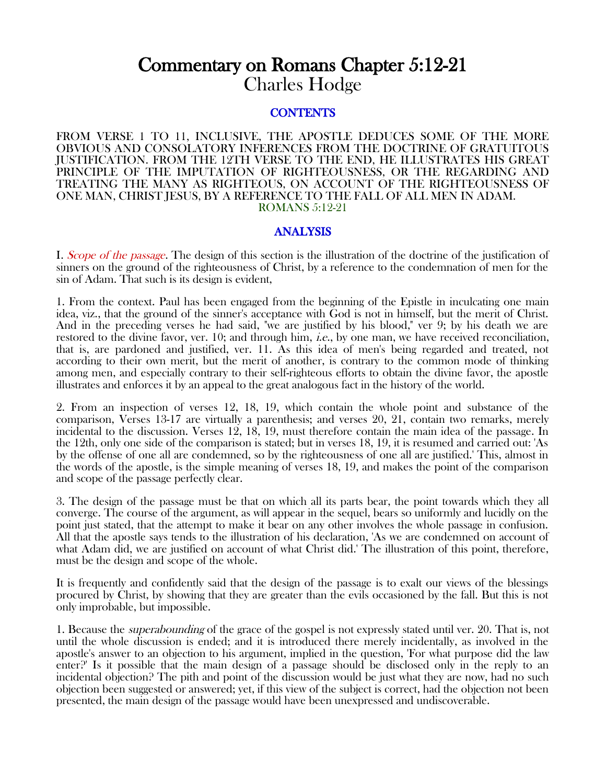# Commentary on Romans Chapter 5:12-21 Charles Hodge

## **CONTENTS**

#### FROM VERSE 1 TO 11, INCLUSIVE, THE APOSTLE DEDUCES SOME OF THE MORE OBVIOUS AND CONSOLATORY INFERENCES FROM THE DOCTRINE OF GRATUITOUS JUSTIFICATION. FROM THE 12TH VERSE TO THE END, HE ILLUSTRATES HIS GREAT PRINCIPLE OF THE IMPUTATION OF RIGHTEOUSNESS, OR THE REGARDING AND TREATING THE MANY AS RIGHTEOUS, ON ACCOUNT OF THE RIGHTEOUSNESS OF ONE MAN, CHRIST JESUS, BY A REFERENCE TO THE FALL OF ALL MEN IN ADAM. ROMANS 5:12-21

#### ANALYSIS

I. Scope of the passage. The design of this section is the illustration of the doctrine of the justification of sinners on the ground of the righteousness of Christ, by a reference to the condemnation of men for the sin of Adam. That such is its design is evident,

1. From the context. Paul has been engaged from the beginning of the Epistle in inculcating one main idea, viz., that the ground of the sinner's acceptance with God is not in himself, but the merit of Christ. And in the preceding verses he had said, "we are justified by his blood," ver 9; by his death we are restored to the divine favor, ver. 10; and through him, *i.e.*, by one man, we have received reconciliation, that is, are pardoned and justified, ver. 11. As this idea of men's being regarded and treated, not according to their own merit, but the merit of another, is contrary to the common mode of thinking among men, and especially contrary to their self-righteous efforts to obtain the divine favor, the apostle illustrates and enforces it by an appeal to the great analogous fact in the history of the world.

2. From an inspection of verses 12, 18, 19, which contain the whole point and substance of the comparison, Verses 13-17 are virtually a parenthesis; and verses 20, 21, contain two remarks, merely incidental to the discussion. Verses 12, 18, 19, must therefore contain the main idea of the passage. In the 12th, only one side of the comparison is stated; but in verses 18, 19, it is resumed and carried out: 'As by the offense of one all are condemned, so by the righteousness of one all are justified.' This, almost in the words of the apostle, is the simple meaning of verses 18, 19, and makes the point of the comparison and scope of the passage perfectly clear.

3. The design of the passage must be that on which all its parts bear, the point towards which they all converge. The course of the argument, as will appear in the sequel, bears so uniformly and lucidly on the point just stated, that the attempt to make it bear on any other involves the whole passage in confusion. All that the apostle says tends to the illustration of his declaration, 'As we are condemned on account of what Adam did, we are justified on account of what Christ did.' The illustration of this point, therefore, must be the design and scope of the whole.

It is frequently and confidently said that the design of the passage is to exalt our views of the blessings procured by Christ, by showing that they are greater than the evils occasioned by the fall. But this is not only improbable, but impossible.

1. Because the *superabounding* of the grace of the gospel is not expressly stated until ver. 20. That is, not until the whole discussion is ended; and it is introduced there merely incidentally, as involved in the apostle's answer to an objection to his argument, implied in the question, 'For what purpose did the law enter?' Is it possible that the main design of a passage should be disclosed only in the reply to an incidental objection? The pith and point of the discussion would be just what they are now, had no such objection been suggested or answered; yet, if this view of the subject is correct, had the objection not been presented, the main design of the passage would have been unexpressed and undiscoverable.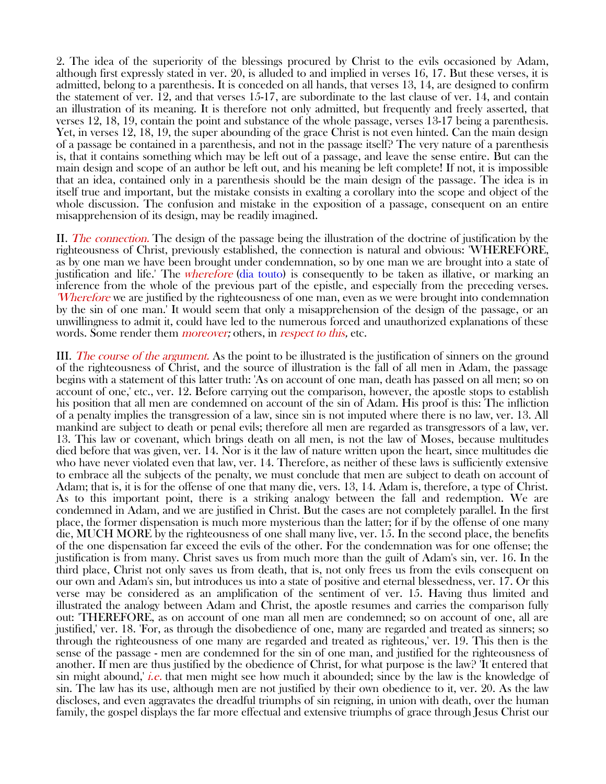2. The idea of the superiority of the blessings procured by Christ to the evils occasioned by Adam, although first expressly stated in ver. 20, is alluded to and implied in verses 16, 17. But these verses, it is admitted, belong to a parenthesis. It is conceded on all hands, that verses 13, 14, are designed to confirm the statement of ver. 12, and that verses 15-17, are subordinate to the last clause of ver. 14, and contain an illustration of its meaning. It is therefore not only admitted, but frequently and freely asserted, that verses 12, 18, 19, contain the point and substance of the whole passage, verses 13-17 being a parenthesis. Yet, in verses 12, 18, 19, the super abounding of the grace Christ is not even hinted. Can the main design of a passage be contained in a parenthesis, and not in the passage itself? The very nature of a parenthesis is, that it contains something which may be left out of a passage, and leave the sense entire. But can the main design and scope of an author be left out, and his meaning be left complete! If not, it is impossible that an idea, contained only in a parenthesis should be the main design of the passage. The idea is in itself true and important, but the mistake consists in exalting a corollary into the scope and object of the whole discussion. The confusion and mistake in the exposition of a passage, consequent on an entire misapprehension of its design, may be readily imagined.

II. The connection. The design of the passage being the illustration of the doctrine of justification by the righteousness of Christ, previously established, the connection is natural and obvious: 'WHEREFORE, as by one man we have been brought under condemnation, so by one man we are brought into a state of justification and life.' The wherefore (dia touto) is consequently to be taken as illative, or marking an inference from the whole of the previous part of the epistle, and especially from the preceding verses. 'Wherefore we are justified by the righteousness of one man, even as we were brought into condemnation by the sin of one man.' It would seem that only a misapprehension of the design of the passage, or an unwillingness to admit it, could have led to the numerous forced and unauthorized explanations of these words. Some render them *moreover*; others, in *respect to this*, etc.

III. The course of the argument. As the point to be illustrated is the justification of sinners on the ground of the righteousness of Christ, and the source of illustration is the fall of all men in Adam, the passage begins with a statement of this latter truth: 'As on account of one man, death has passed on all men; so on account of one,' etc., ver. 12. Before carrying out the comparison, however, the apostle stops to establish his position that all men are condemned on account of the sin of Adam. His proof is this: The infliction of a penalty implies the transgression of a law, since sin is not imputed where there is no law, ver. 13. All mankind are subject to death or penal evils; therefore all men are regarded as transgressors of a law, ver. 13. This law or covenant, which brings death on all men, is not the law of Moses, because multitudes died before that was given, ver. 14. Nor is it the law of nature written upon the heart, since multitudes die who have never violated even that law, ver. 14. Therefore, as neither of these laws is sufficiently extensive to embrace all the subjects of the penalty, we must conclude that men are subject to death on account of Adam; that is, it is for the offense of one that many die, vers. 13, 14. Adam is, therefore, a type of Christ. As to this important point, there is a striking analogy between the fall and redemption. We are condemned in Adam, and we are justified in Christ. But the cases are not completely parallel. In the first place, the former dispensation is much more mysterious than the latter; for if by the offense of one many die, MUCH MORE by the righteousness of one shall many live, ver. 15. In the second place, the benefits of the one dispensation far exceed the evils of the other. For the condemnation was for one offense; the justification is from many. Christ saves us from much more than the guilt of Adam's sin, ver. 16. In the third place, Christ not only saves us from death, that is, not only frees us from the evils consequent on our own and Adam's sin, but introduces us into a state of positive and eternal blessedness, ver. 17. Or this verse may be considered as an amplification of the sentiment of ver. 15. Having thus limited and illustrated the analogy between Adam and Christ, the apostle resumes and carries the comparison fully out: 'THEREFORE, as on account of one man all men are condemned; so on account of one, all are justified,' ver. 18. 'For, as through the disobedience of one, many are regarded and treated as sinners; so through the righteousness of one many are regarded and treated as righteous,' ver. 19. This then is the sense of the passage - men are condemned for the sin of one man, and justified for the righteousness of another. If men are thus justified by the obedience of Christ, for what purpose is the law? 'It entered that sin might abound, *i.e.* that men might see how much it abounded; since by the law is the knowledge of sin. The law has its use, although men are not justified by their own obedience to it, ver. 20. As the law discloses, and even aggravates the dreadful triumphs of sin reigning, in union with death, over the human family, the gospel displays the far more effectual and extensive triumphs of grace through Jesus Christ our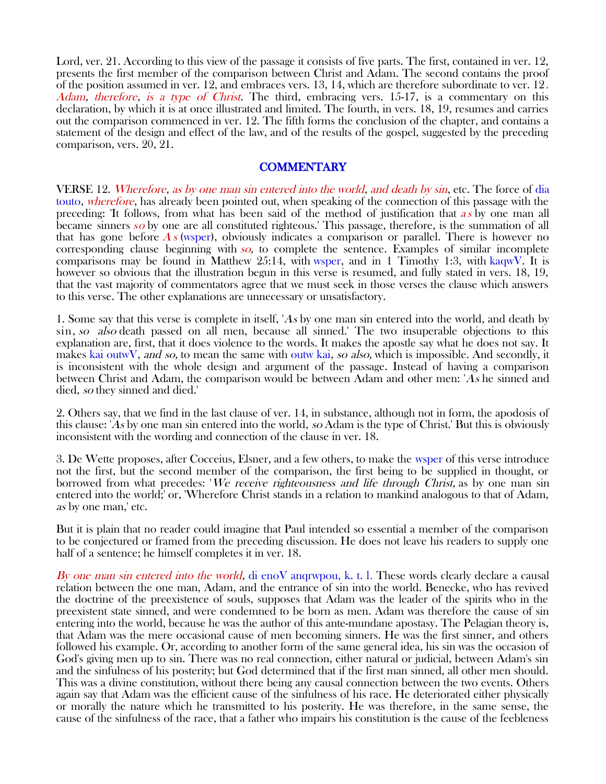Lord, ver. 21. According to this view of the passage it consists of five parts. The first, contained in ver. 12, presents the first member of the comparison between Christ and Adam. The second contains the proof of the position assumed in ver. 12, and embraces vers. 13, 14, which are therefore subordinate to ver. 12. Adam, therefore, is a type of Christ. The third, embracing vers. 15-17, is a commentary on this declaration, by which it is at once illustrated and limited. The fourth, in vers. 18, 19, resumes and carries out the comparison commenced in ver. 12. The fifth forms the conclusion of the chapter, and contains a statement of the design and effect of the law, and of the results of the gospel, suggested by the preceding comparison, vers. 20, 21.

#### **COMMENTARY**

VERSE 12. Wherefore, as by one man sin entered into the world, and death by sin, etc. The force of dia touto, wherefore, has already been pointed out, when speaking of the connection of this passage with the preceding: It follows, from what has been said of the method of justification that as by one man all became sinners so by one are all constituted righteous. This passage, therefore, is the summation of all that has gone before  $\overline{As}$  (wsper), obviously indicates a comparison or parallel. There is however no corresponding clause beginning with so, to complete the sentence. Examples of similar incomplete comparisons may be found in Matthew 25:14, with wsper, and in 1 Timothy 1:3, with kaqwV. It is however so obvious that the illustration begun in this verse is resumed, and fully stated in vers. 18, 19, that the vast majority of commentators agree that we must seek in those verses the clause which answers to this verse. The other explanations are unnecessary or unsatisfactory.

1. Some say that this verse is complete in itself, 'As by one man sin entered into the world, and death by sin, so also death passed on all men, because all sinned.' The two insuperable objections to this explanation are, first, that it does violence to the words. It makes the apostle say what he does not say. It makes kai outwV, and so, to mean the same with outw kai, so also, which is impossible. And secondly, it is inconsistent with the whole design and argument of the passage. Instead of having a comparison between Christ and Adam, the comparison would be between Adam and other men: 'As he sinned and died, so they sinned and died.'

2. Others say, that we find in the last clause of ver. 14, in substance, although not in form, the apodosis of this clause: 'As by one man sin entered into the world, so Adam is the type of Christ.' But this is obviously inconsistent with the wording and connection of the clause in ver. 18.

3. De Wette proposes, after Cocceius, Elsner, and a few others, to make the wsper of this verse introduce not the first, but the second member of the comparison, the first being to be supplied in thought, or borrowed from what precedes: 'We receive righteousness and life through Christ, as by one man sin entered into the world;' or, 'Wherefore Christ stands in a relation to mankind analogous to that of Adam, as by one man,' etc.

But it is plain that no reader could imagine that Paul intended so essential a member of the comparison to be conjectured or framed from the preceding discussion. He does not leave his readers to supply one half of a sentence; he himself completes it in ver. 18.

By one man sin entered into the world, di enoV angrwpou, k. t. l. These words clearly declare a causal relation between the one man, Adam, and the entrance of sin into the world. Benecke, who has revived the doctrine of the preexistence of souls, supposes that Adam was the leader of the spirits who in the preexistent state sinned, and were condemned to be born as men. Adam was therefore the cause of sin entering into the world, because he was the author of this ante-mundane apostasy. The Pelagian theory is, that Adam was the mere occasional cause of men becoming sinners. He was the first sinner, and others followed his example. Or, according to another form of the same general idea, his sin was the occasion of God's giving men up to sin. There was no real connection, either natural or judicial, between Adam's sin and the sinfulness of his posterity; but God determined that if the first man sinned, all other men should. This was a divine constitution, without there being any causal connection between the two events. Others again say that Adam was the efficient cause of the sinfulness of his race. He deteriorated either physically or morally the nature which he transmitted to his posterity. He was therefore, in the same sense, the cause of the sinfulness of the race, that a father who impairs his constitution is the cause of the feebleness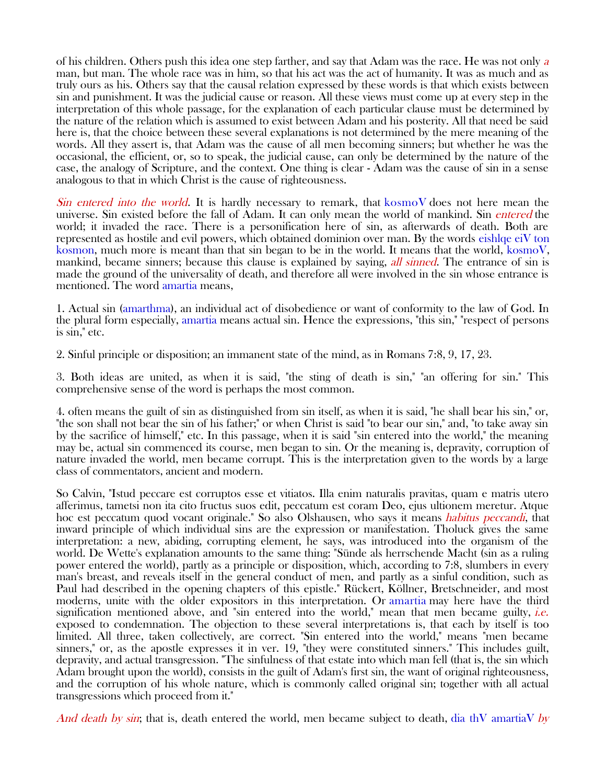of his children. Others push this idea one step farther, and say that Adam was the race. He was not only a man, but man. The whole race was in him, so that his act was the act of humanity. It was as much and as truly ours as his. Others say that the causal relation expressed by these words is that which exists between sin and punishment. It was the judicial cause or reason. All these views must come up at every step in the interpretation of this whole passage, for the explanation of each particular clause must be determined by the nature of the relation which is assumed to exist between Adam and his posterity. All that need be said here is, that the choice between these several explanations is not determined by the mere meaning of the words. All they assert is, that Adam was the cause of all men becoming sinners; but whether he was the occasional, the efficient, or, so to speak, the judicial cause, can only be determined by the nature of the case, the analogy of Scripture, and the context. One thing is clear - Adam was the cause of sin in a sense analogous to that in which Christ is the cause of righteousness.

Sin entered into the world. It is hardly necessary to remark, that kosmoV does not here mean the universe. Sin existed before the fall of Adam. It can only mean the world of mankind. Sin *entered* the world; it invaded the race. There is a personification here of sin, as afterwards of death. Both are represented as hostile and evil powers, which obtained dominion over man. By the words eishlqe eiV ton kosmon, much more is meant than that sin began to be in the world. It means that the world, kosmoV, mankind, became sinners; because this clause is explained by saying, all sinned. The entrance of sin is made the ground of the universality of death, and therefore all were involved in the sin whose entrance is mentioned. The word amartia means,

1. Actual sin (amarthma), an individual act of disobedience or want of conformity to the law of God. In the plural form especially, amartia means actual sin. Hence the expressions, "this sin," "respect of persons is sin," etc.

2. Sinful principle or disposition; an immanent state of the mind, as in Romans 7:8, 9, 17, 23.

3. Both ideas are united, as when it is said, "the sting of death is sin," "an offering for sin." This comprehensive sense of the word is perhaps the most common.

4. often means the guilt of sin as distinguished from sin itself, as when it is said, "he shall bear his sin," or, "the son shall not bear the sin of his father;" or when Christ is said "to bear our sin," and, "to take away sin by the sacrifice of himself," etc. In this passage, when it is said "sin entered into the world," the meaning may be, actual sin commenced its course, men began to sin. Or the meaning is, depravity, corruption of nature invaded the world, men became corrupt. This is the interpretation given to the words by a large class of commentators, ancient and modern.

So Calvin, "Istud peccare est corruptos esse et vitiatos. Illa enim naturalis pravitas, quam e matris utero afferimus, tametsi non ita cito fructus suos edit, peccatum est coram Deo, ejus ultionem meretur. Atque hoc est peccatum quod vocant originale." So also Olshausen, who says it means *habitus peccandi*, that inward principle of which individual sins are the expression or manifestation. Tholuck gives the same interpretation: a new, abiding, corrupting element, he says, was introduced into the organism of the world. De Wette's explanation amounts to the same thing: "Sünde als herrschende Macht (sin as a ruling power entered the world), partly as a principle or disposition, which, according to 7:8, slumbers in every man's breast, and reveals itself in the general conduct of men, and partly as a sinful condition, such as Paul had described in the opening chapters of this epistle." Rückert, Köllner, Bretschneider, and most moderns, unite with the older expositors in this interpretation. Or amartia may here have the third signification mentioned above, and "sin entered into the world," mean that men became guilty, *i.e.* exposed to condemnation. The objection to these several interpretations is, that each by itself is too limited. All three, taken collectively, are correct. "Sin entered into the world," means "men became sinners," or, as the apostle expresses it in ver. 19, "they were constituted sinners." This includes guilt, depravity, and actual transgression. "The sinfulness of that estate into which man fell (that is, the sin which Adam brought upon the world), consists in the guilt of Adam's first sin, the want of original righteousness, and the corruption of his whole nature, which is commonly called original sin; together with all actual transgressions which proceed from it."

And death by sin; that is, death entered the world, men became subject to death, dia thV amartiaV by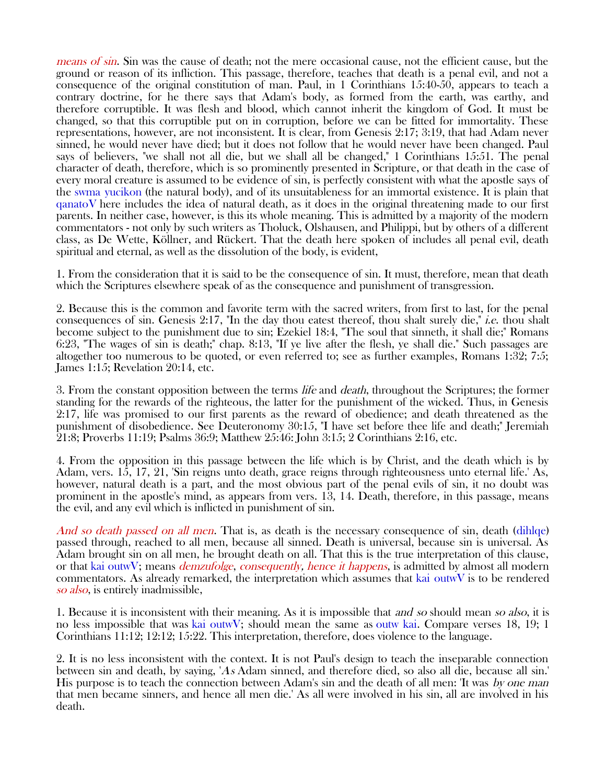means of sin. Sin was the cause of death; not the mere occasional cause, not the efficient cause, but the ground or reason of its infliction. This passage, therefore, teaches that death is a penal evil, and not a consequence of the original constitution of man. Paul, in 1 Corinthians 15:40-50, appears to teach a contrary doctrine, for he there says that Adam's body, as formed from the earth, was earthy, and therefore corruptible. It was flesh and blood, which cannot inherit the kingdom of God. It must be changed, so that this corruptible put on in corruption, before we can be fitted for immortality. These representations, however, are not inconsistent. It is clear, from Genesis 2:17; 3:19, that had Adam never sinned, he would never have died; but it does not follow that he would never have been changed. Paul says of believers, "we shall not all die, but we shall all be changed," 1 Corinthians 15:51. The penal character of death, therefore, which is so prominently presented in Scripture, or that death in the case of every moral creature is assumed to be evidence of sin, is perfectly consistent with what the apostle says of the swma yucikon (the natural body), and of its unsuitableness for an immortal existence. It is plain that qanatoV here includes the idea of natural death, as it does in the original threatening made to our first parents. In neither case, however, is this its whole meaning. This is admitted by a majority of the modern commentators - not only by such writers as Tholuck, Olshausen, and Philippi, but by others of a different class, as De Wette, Köllner, and Rückert. That the death here spoken of includes all penal evil, death spiritual and eternal, as well as the dissolution of the body, is evident,

1. From the consideration that it is said to be the consequence of sin. It must, therefore, mean that death which the Scriptures elsewhere speak of as the consequence and punishment of transgression.

2. Because this is the common and favorite term with the sacred writers, from first to last, for the penal consequences of sin. Genesis 2:17, "In the day thou eatest thereof, thou shalt surely die," i.e. thou shalt become subject to the punishment due to sin; Ezekiel 18:4, "The soul that sinneth, it shall die;" Romans 6:23, "The wages of sin is death;" chap. 8:13, "If ye live after the flesh, ye shall die." Such passages are altogether too numerous to be quoted, or even referred to; see as further examples, Romans 1:32; 7:5; James 1:15; Revelation 20:14, etc.

3. From the constant opposition between the terms life and death, throughout the Scriptures; the former standing for the rewards of the righteous, the latter for the punishment of the wicked. Thus, in Genesis 2:17, life was promised to our first parents as the reward of obedience; and death threatened as the punishment of disobedience. See Deuteronomy 30:15, "I have set before thee life and death;" Jeremiah 21:8; Proverbs 11:19; Psalms 36:9; Matthew 25:46: John 3:15; 2 Corinthians 2:16, etc.

4. From the opposition in this passage between the life which is by Christ, and the death which is by Adam, vers. 15, 17, 21, 'Sin reigns unto death, grace reigns through righteousness unto eternal life.' As, however, natural death is a part, and the most obvious part of the penal evils of sin, it no doubt was prominent in the apostle's mind, as appears from vers. 13, 14. Death, therefore, in this passage, means the evil, and any evil which is inflicted in punishment of sin.

And so death passed on all men. That is, as death is the necessary consequence of sin, death (dihlqe) passed through, reached to all men, because all sinned. Death is universal, because sin is universal. As Adam brought sin on all men, he brought death on all. That this is the true interpretation of this clause, or that kai outwV; means *demzufolge, consequently, hence it happens*, is admitted by almost all modern commentators. As already remarked, the interpretation which assumes that kai outwV is to be rendered so also, is entirely inadmissible,

1. Because it is inconsistent with their meaning. As it is impossible that *and so* should mean so also, it is no less impossible that was kai outwV; should mean the same as outw kai. Compare verses 18, 19; 1 Corinthians 11:12; 12:12; 15:22. This interpretation, therefore, does violence to the language.

2. It is no less inconsistent with the context. It is not Paul's design to teach the inseparable connection between sin and death, by saying, 'As Adam sinned, and therefore died, so also all die, because all sin.' His purpose is to teach the connection between Adam's sin and the death of all men: 'It was by one man that men became sinners, and hence all men die.' As all were involved in his sin, all are involved in his death.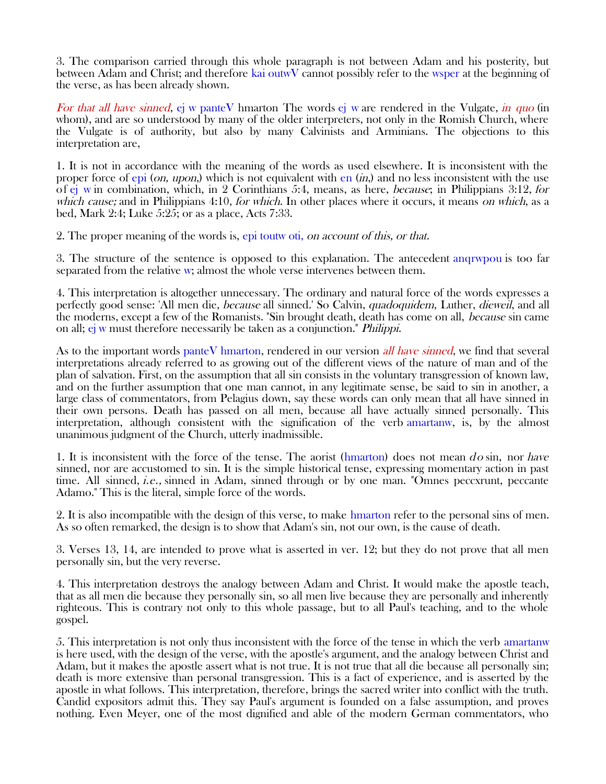3. The comparison carried through this whole paragraph is not between Adam and his posterity, but between Adam and Christ; and therefore kai outwV cannot possibly refer to the wsper at the beginning of the verse, as has been already shown.

For that all have sinned, ej w panteV hmarton The words ej w are rendered in the Vulgate, in quo (in whom), and are so understood by many of the older interpreters, not only in the Romish Church, where the Vulgate is of authority, but also by many Calvinists and Arminians. The objections to this interpretation are,

1. It is not in accordance with the meaning of the words as used elsewhere. It is inconsistent with the proper force of epi (*on, upon*,) which is not equivalent with en  $(in)$  and no less inconsistent with the use of ej w in combination, which, in 2 Corinthians 5:4, means, as here, because; in Philippians 3:12, for which cause; and in Philippians 4:10, for which. In other places where it occurs, it means on which, as a bed, Mark 2:4; Luke 5:25; or as a place, Acts 7:33.

2. The proper meaning of the words is, epi toutw oti, on account of this, or that.

3. The structure of the sentence is opposed to this explanation. The antecedent anqrwpou is too far separated from the relative  $w$ ; almost the whole verse intervenes between them.

4. This interpretation is altogether unnecessary. The ordinary and natural force of the words expresses a perfectly good sense: 'All men die, because all sinned.' So Calvin, quadoquidem, Luther, dieweil, and all the moderns, except a few of the Romanists. "Sin brought death, death has come on all, because sin came on all; ej w must therefore necessarily be taken as a conjunction." Philippi.

As to the important words panteV hmarton, rendered in our version *all have sinned*, we find that several interpretations already referred to as growing out of the different views of the nature of man and of the plan of salvation. First, on the assumption that all sin consists in the voluntary transgression of known law, and on the further assumption that one man cannot, in any legitimate sense, be said to sin in another, a large class of commentators, from Pelagius down, say these words can only mean that all have sinned in their own persons. Death has passed on all men, because all have actually sinned personally. This interpretation, although consistent with the signification of the verb amartanw, is, by the almost unanimous judgment of the Church, utterly inadmissible.

1. It is inconsistent with the force of the tense. The aorist (hmarton) does not mean  $d\phi$  sin, nor have sinned, nor are accustomed to sin. It is the simple historical tense, expressing momentary action in past time. All sinned, i.e., sinned in Adam, sinned through or by one man. "Omnes peccxrunt, peccante Adamo." This is the literal, simple force of the words.

2. It is also incompatible with the design of this verse, to make hmarton refer to the personal sins of men. As so often remarked, the design is to show that Adam's sin, not our own, is the cause of death.

3. Verses 13, 14, are intended to prove what is asserted in ver. 12; but they do not prove that all men personally sin, but the very reverse.

4. This interpretation destroys the analogy between Adam and Christ. It would make the apostle teach, that as all men die because they personally sin, so all men live because they are personally and inherently righteous. This is contrary not only to this whole passage, but to all Paul's teaching, and to the whole gospel.

5. This interpretation is not only thus inconsistent with the force of the tense in which the verb amartanw is here used, with the design of the verse, with the apostle's argument, and the analogy between Christ and Adam, but it makes the apostle assert what is not true. It is not true that all die because all personally sin; death is more extensive than personal transgression. This is a fact of experience, and is asserted by the apostle in what follows. This interpretation, therefore, brings the sacred writer into conflict with the truth. Candid expositors admit this. They say Paul's argument is founded on a false assumption, and proves nothing. Even Meyer, one of the most dignified and able of the modern German commentators, who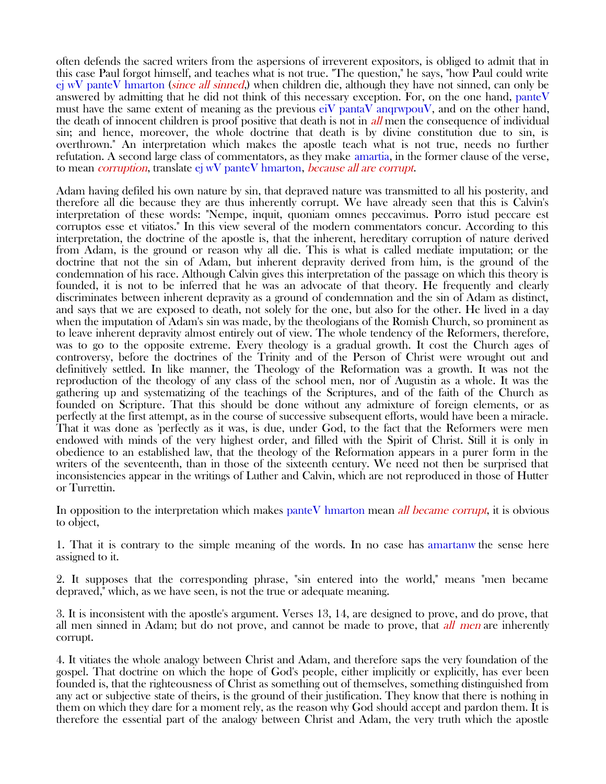often defends the sacred writers from the aspersions of irreverent expositors, is obliged to admit that in this case Paul forgot himself, and teaches what is not true. "The question," he says, "how Paul could write ej wV panteV hmarton *(since all sinned,)* when children die, although they have not sinned, can only be answered by admitting that he did not think of this necessary exception. For, on the one hand, panteV must have the same extent of meaning as the previous  $e_iV$  pantaV and  $V$ , and on the other hand, the death of innocent children is proof positive that death is not in *all* men the consequence of individual sin; and hence, moreover, the whole doctrine that death is by divine constitution due to sin, is overthrown." An interpretation which makes the apostle teach what is not true, needs no further refutation. A second large class of commentators, as they make amartia, in the former clause of the verse, to mean *corruption*, translate ej wV panteV hmarton, *because all are corrupt*.

Adam having defiled his own nature by sin, that depraved nature was transmitted to all his posterity, and therefore all die because they are thus inherently corrupt. We have already seen that this is Calvin's interpretation of these words: "Nempe, inquit, quoniam omnes peccavimus. Porro istud peccare est corruptos esse et vitiatos." In this view several of the modern commentators concur. According to this interpretation, the doctrine of the apostle is, that the inherent, hereditary corruption of nature derived from Adam, is the ground or reason why all die. This is what is called mediate imputation; or the doctrine that not the sin of Adam, but inherent depravity derived from him, is the ground of the condemnation of his race. Although Calvin gives this interpretation of the passage on which this theory is founded, it is not to be inferred that he was an advocate of that theory. He frequently and clearly discriminates between inherent depravity as a ground of condemnation and the sin of Adam as distinct, and says that we are exposed to death, not solely for the one, but also for the other. He lived in a day when the imputation of Adam's sin was made, by the theologians of the Romish Church, so prominent as to leave inherent depravity almost entirely out of view. The whole tendency of the Reformers, therefore, was to go to the opposite extreme. Every theology is a gradual growth. It cost the Church ages of controversy, before the doctrines of the Trinity and of the Person of Christ were wrought out and definitively settled. In like manner, the Theology of the Reformation was a growth. It was not the reproduction of the theology of any class of the school men, nor of Augustin as a whole. It was the gathering up and systematizing of the teachings of the Scriptures, and of the faith of the Church as founded on Scripture. That this should be done without any admixture of foreign elements, or as perfectly at the first attempt, as in the course of successive subsequent efforts, would have been a miracle. That it was done as 'perfectly as it was, is due, under God, to the fact that the Reformers were men endowed with minds of the very highest order, and filled with the Spirit of Christ. Still it is only in obedience to an established law, that the theology of the Reformation appears in a purer form in the writers of the seventeenth, than in those of the sixteenth century. We need not then be surprised that inconsistencies appear in the writings of Luther and Calvin, which are not reproduced in those of Hutter or Turrettin.

In opposition to the interpretation which makes panteV hmarton mean *all became corrupt*, it is obvious to object,

1. That it is contrary to the simple meaning of the words. In no case has amartanw the sense here assigned to it.

2. It supposes that the corresponding phrase, "sin entered into the world," means "men became depraved," which, as we have seen, is not the true or adequate meaning.

3. It is inconsistent with the apostle's argument. Verses 13, 14, are designed to prove, and do prove, that all men sinned in Adam; but do not prove, and cannot be made to prove, that *all men* are inherently corrupt.

4. It vitiates the whole analogy between Christ and Adam, and therefore saps the very foundation of the gospel. That doctrine on which the hope of God's people, either implicitly or explicitly, has ever been founded is, that the righteousness of Christ as something out of themselves, something distinguished from any act or subjective state of theirs, is the ground of their justification. They know that there is nothing in them on which they dare for a moment rely, as the reason why God should accept and pardon them. It is therefore the essential part of the analogy between Christ and Adam, the very truth which the apostle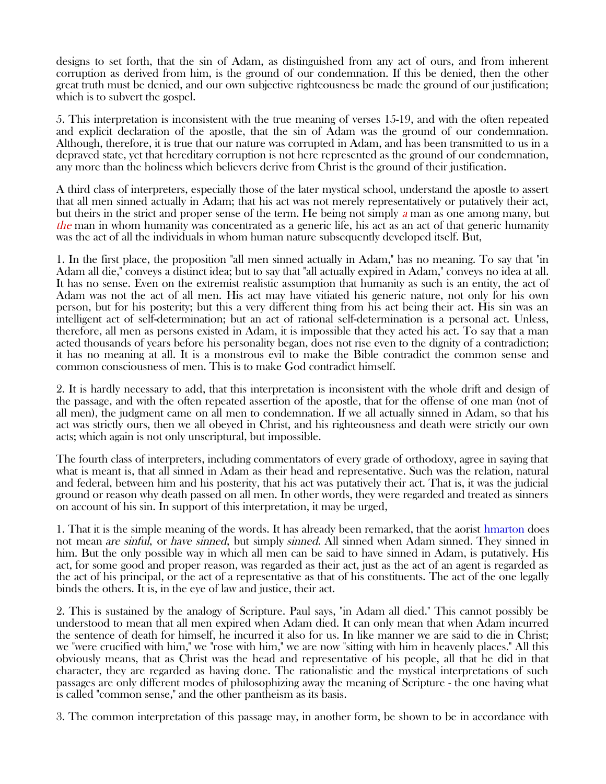designs to set forth, that the sin of Adam, as distinguished from any act of ours, and from inherent corruption as derived from him, is the ground of our condemnation. If this be denied, then the other great truth must be denied, and our own subjective righteousness be made the ground of our justification; which is to subvert the gospel.

5. This interpretation is inconsistent with the true meaning of verses 15-19, and with the often repeated and explicit declaration of the apostle, that the sin of Adam was the ground of our condemnation. Although, therefore, it is true that our nature was corrupted in Adam, and has been transmitted to us in a depraved state, yet that hereditary corruption is not here represented as the ground of our condemnation, any more than the holiness which believers derive from Christ is the ground of their justification.

A third class of interpreters, especially those of the later mystical school, understand the apostle to assert that all men sinned actually in Adam; that his act was not merely representatively or putatively their act, but theirs in the strict and proper sense of the term. He being not simply <sup>a</sup> man as one among many, but the man in whom humanity was concentrated as a generic life, his act as an act of that generic humanity was the act of all the individuals in whom human nature subsequently developed itself. But,

1. In the first place, the proposition "all men sinned actually in Adam," has no meaning. To say that "in Adam all die," conveys a distinct idea; but to say that "all actually expired in Adam," conveys no idea at all. It has no sense. Even on the extremist realistic assumption that humanity as such is an entity, the act of Adam was not the act of all men. His act may have vitiated his generic nature, not only for his own person, but for his posterity; but this a very different thing from his act being their act. His sin was an intelligent act of self-determination; but an act of rational self-determination is a personal act. Unless, therefore, all men as persons existed in Adam, it is impossible that they acted his act. To say that a man acted thousands of years before his personality began, does not rise even to the dignity of a contradiction; it has no meaning at all. It is a monstrous evil to make the Bible contradict the common sense and common consciousness of men. This is to make God contradict himself.

2. It is hardly necessary to add, that this interpretation is inconsistent with the whole drift and design of the passage, and with the often repeated assertion of the apostle, that for the offense of one man (not of all men), the judgment came on all men to condemnation. If we all actually sinned in Adam, so that his act was strictly ours, then we all obeyed in Christ, and his righteousness and death were strictly our own acts; which again is not only unscriptural, but impossible.

The fourth class of interpreters, including commentators of every grade of orthodoxy, agree in saying that what is meant is, that all sinned in Adam as their head and representative. Such was the relation, natural and federal, between him and his posterity, that his act was putatively their act. That is, it was the judicial ground or reason why death passed on all men. In other words, they were regarded and treated as sinners on account of his sin. In support of this interpretation, it may be urged,

1. That it is the simple meaning of the words. It has already been remarked, that the aorist hmarton does not mean *are sinful*, or *have sinned*, but simply *sinned*. All sinned when Adam sinned. They sinned in him. But the only possible way in which all men can be said to have sinned in Adam, is putatively. His act, for some good and proper reason, was regarded as their act, just as the act of an agent is regarded as the act of his principal, or the act of a representative as that of his constituents. The act of the one legally binds the others. It is, in the eye of law and justice, their act.

2. This is sustained by the analogy of Scripture. Paul says, "in Adam all died." This cannot possibly be understood to mean that all men expired when Adam died. It can only mean that when Adam incurred the sentence of death for himself, he incurred it also for us. In like manner we are said to die in Christ; we "were crucified with him," we "rose with him," we are now "sitting with him in heavenly places." All this obviously means, that as Christ was the head and representative of his people, all that he did in that character, they are regarded as having done. The rationalistic and the mystical interpretations of such passages are only different modes of philosophizing away the meaning of Scripture - the one having what is called "common sense," and the other pantheism as its basis.

3. The common interpretation of this passage may, in another form, be shown to be in accordance with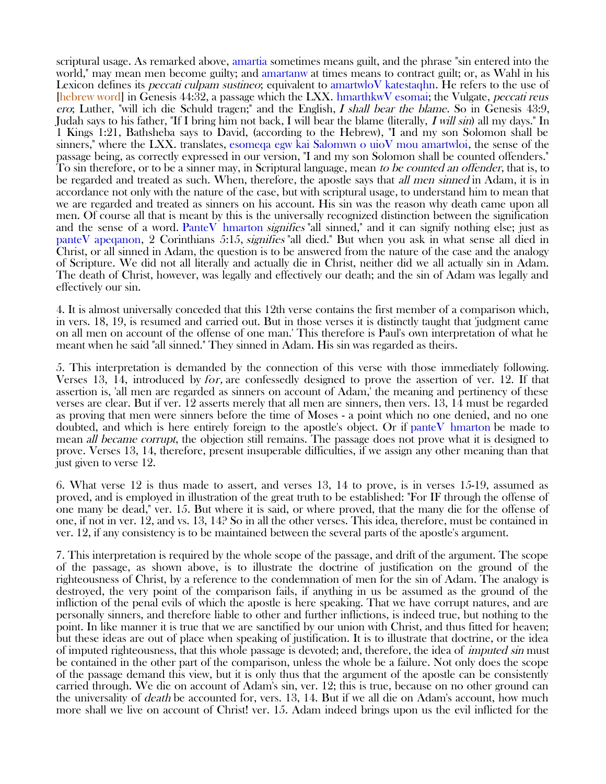scriptural usage. As remarked above, amartia sometimes means guilt, and the phrase "sin entered into the world," may mean men become guilty; and amartanw at times means to contract guilt; or, as Wahl in his Lexicon defines its *peccati culpam sustineo*; equivalent to amartwloV katestaghn. He refers to the use of [hebrew word] in Genesis 44:32, a passage which the LXX. hmarthkwV esomai; the Vulgate, peccati reus ero; Luther, "will ich die Schuld tragen;" and the English, I shall bear the blame. So in Genesis 43:9, Judah says to his father, "If I bring him not back, I will bear the blame (literally, I will sin) all my days." In 1 Kings 1:21, Bathsheba says to David, (according to the Hebrew), "I and my son Solomon shall be sinners," where the LXX. translates, esomega egw kai Salomwn o uioV mou amartwloi, the sense of the passage being, as correctly expressed in our version, "I and my son Solomon shall be counted offenders." To sin therefore, or to be a sinner may, in Scriptural language, mean *to be counted an offender*, that is, to be regarded and treated as such. When, therefore, the apostle says that *all men sinned* in Adam, it is in accordance not only with the nature of the case, but with scriptural usage, to understand him to mean that we are regarded and treated as sinners on his account. His sin was the reason why death came upon all men. Of course all that is meant by this is the universally recognized distinction between the signification and the sense of a word. PanteV hmarton *signifies* "all sinned," and it can signify nothing else; just as panteV apeqanon, 2 Corinthians 5:15, signifies "all died." But when you ask in what sense all died in Christ, or all sinned in Adam, the question is to be answered from the nature of the case and the analogy of Scripture. We did not all literally and actually die in Christ, neither did we all actually sin in Adam. The death of Christ, however, was legally and effectively our death; and the sin of Adam was legally and effectively our sin.

4. It is almost universally conceded that this 12th verse contains the first member of a comparison which, in vers. 18, 19, is resumed and carried out. But in those verses it is distinctly taught that 'judgment came on all men on account of the offense of one man.' This therefore is Paul's own interpretation of what he meant when he said "all sinned." They sinned in Adam. His sin was regarded as theirs.

5. This interpretation is demanded by the connection of this verse with those immediately following. Verses 13, 14, introduced by for, are confessedly designed to prove the assertion of ver. 12. If that assertion is, 'all men are regarded as sinners on account of Adam,' the meaning and pertinency of these verses are clear. But if ver. 12 asserts merely that all men are sinners, then vers. 13, 14 must be regarded as proving that men were sinners before the time of Moses - a point which no one denied, and no one doubted, and which is here entirely foreign to the apostle's object. Or if panteV hmarton be made to mean *all became corrupt*, the objection still remains. The passage does not prove what it is designed to prove. Verses 13, 14, therefore, present insuperable difficulties, if we assign any other meaning than that just given to verse 12.

6. What verse 12 is thus made to assert, and verses 13, 14 to prove, is in verses 15-19, assumed as proved, and is employed in illustration of the great truth to be established: "For IF through the offense of one many be dead," ver. 15. But where it is said, or where proved, that the many die for the offense of one, if not in ver. 12, and vs. 13, 14? So in all the other verses. This idea, therefore, must be contained in ver. 12, if any consistency is to be maintained between the several parts of the apostle's argument.

7. This interpretation is required by the whole scope of the passage, and drift of the argument. The scope of the passage, as shown above, is to illustrate the doctrine of justification on the ground of the righteousness of Christ, by a reference to the condemnation of men for the sin of Adam. The analogy is destroyed, the very point of the comparison fails, if anything in us be assumed as the ground of the infliction of the penal evils of which the apostle is here speaking. That we have corrupt natures, and are personally sinners, and therefore liable to other and further inflictions, is indeed true, but nothing to the point. In like manner it is true that we are sanctified by our union with Christ, and thus fitted for heaven; but these ideas are out of place when speaking of justification. It is to illustrate that doctrine, or the idea of imputed righteousness, that this whole passage is devoted; and, therefore, the idea of *imputed sin* must be contained in the other part of the comparison, unless the whole be a failure. Not only does the scope of the passage demand this view, but it is only thus that the argument of the apostle can be consistently carried through. We die on account of Adam's sin, ver. 12; this is true, because on no other ground can the universality of *death* be accounted for, vers. 13, 14. But if we all die on Adam's account, how much more shall we live on account of Christ! ver. 15. Adam indeed brings upon us the evil inflicted for the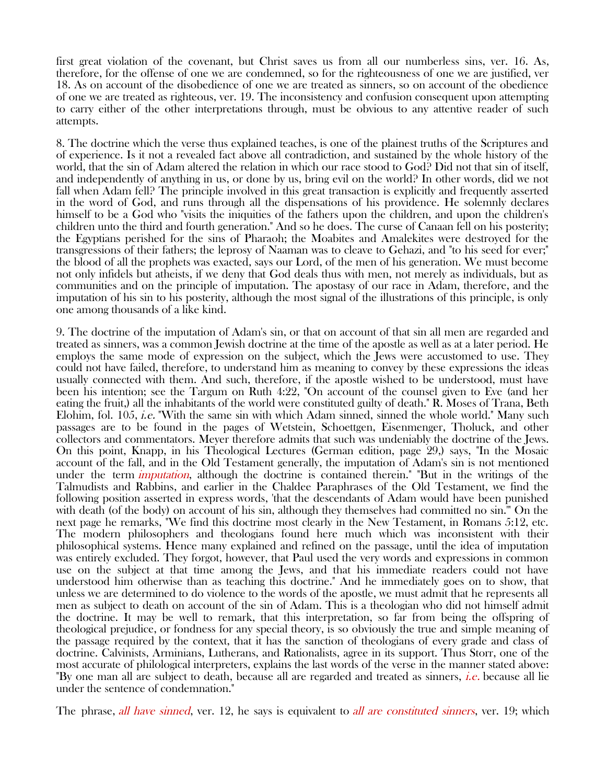first great violation of the covenant, but Christ saves us from all our numberless sins, ver. 16. As, therefore, for the offense of one we are condemned, so for the righteousness of one we are justified, ver 18. As on account of the disobedience of one we are treated as sinners, so on account of the obedience of one we are treated as righteous, ver. 19. The inconsistency and confusion consequent upon attempting to carry either of the other interpretations through, must be obvious to any attentive reader of such attempts.

8. The doctrine which the verse thus explained teaches, is one of the plainest truths of the Scriptures and of experience. Is it not a revealed fact above all contradiction, and sustained by the whole history of the world, that the sin of Adam altered the relation in which our race stood to God? Did not that sin of itself, and independently of anything in us, or done by us, bring evil on the world? In other words, did we not fall when Adam fell? The principle involved in this great transaction is explicitly and frequently asserted in the word of God, and runs through all the dispensations of his providence. He solemnly declares himself to be a God who "visits the iniquities of the fathers upon the children, and upon the children's children unto the third and fourth generation." And so he does. The curse of Canaan fell on his posterity; the Egyptians perished for the sins of Pharaoh; the Moabites and Amalekites were destroyed for the transgressions of their fathers; the leprosy of Naaman was to cleave to Gehazi, and "to his seed for ever;" the blood of all the prophets was exacted, says our Lord, of the men of his generation. We must become not only infidels but atheists, if we deny that God deals thus with men, not merely as individuals, but as communities and on the principle of imputation. The apostasy of our race in Adam, therefore, and the imputation of his sin to his posterity, although the most signal of the illustrations of this principle, is only one among thousands of a like kind.

9. The doctrine of the imputation of Adam's sin, or that on account of that sin all men are regarded and treated as sinners, was a common Jewish doctrine at the time of the apostle as well as at a later period. He employs the same mode of expression on the subject, which the Jews were accustomed to use. They could not have failed, therefore, to understand him as meaning to convey by these expressions the ideas usually connected with them. And such, therefore, if the apostle wished to be understood, must have been his intention; see the Targum on Ruth 4:22, "On account of the counsel given to Eve (and her eating the fruit,) all the inhabitants of the world were constituted guilty of death." R. Moses of Trana, Beth Elohim, fol. 105, i.e. "With the same sin with which Adam sinned, sinned the whole world." Many such passages are to be found in the pages of Wetstein, Schoettgen, Eisenmenger, Tholuck, and other collectors and commentators. Meyer therefore admits that such was undeniably the doctrine of the Jews. On this point, Knapp, in his Theological Lectures (German edition, page 29,) says, "In the Mosaic account of the fall, and in the Old Testament generally, the imputation of Adam's sin is not mentioned under the term *imputation*, although the doctrine is contained therein." "But in the writings of the Talmudists and Rabbins, and earlier in the Chaldee Paraphrases of the Old Testament, we find the following position asserted in express words, 'that the descendants of Adam would have been punished with death (of the body) on account of his sin, although they themselves had committed no sin.'" On the next page he remarks, "We find this doctrine most clearly in the New Testament, in Romans 5:12, etc. The modern philosophers and theologians found here much which was inconsistent with their philosophical systems. Hence many explained and refined on the passage, until the idea of imputation was entirely excluded. They forgot, however, that Paul used the very words and expressions in common use on the subject at that time among the Jews, and that his immediate readers could not have understood him otherwise than as teaching this doctrine." And he immediately goes on to show, that unless we are determined to do violence to the words of the apostle, we must admit that he represents all men as subject to death on account of the sin of Adam. This is a theologian who did not himself admit the doctrine. It may be well to remark, that this interpretation, so far from being the offspring of theological prejudice, or fondness for any special theory, is so obviously the true and simple meaning of the passage required by the context, that it has the sanction of theologians of every grade and class of doctrine. Calvinists, Arminians, Lutherans, and Rationalists, agree in its support. Thus Storr, one of the most accurate of philological interpreters, explains the last words of the verse in the manner stated above: "By one man all are subject to death, because all are regarded and treated as sinners, i.e. because all lie under the sentence of condemnation." I

The phrase, all have sinned, ver. 12, he says is equivalent to all are constituted sinners, ver. 19; which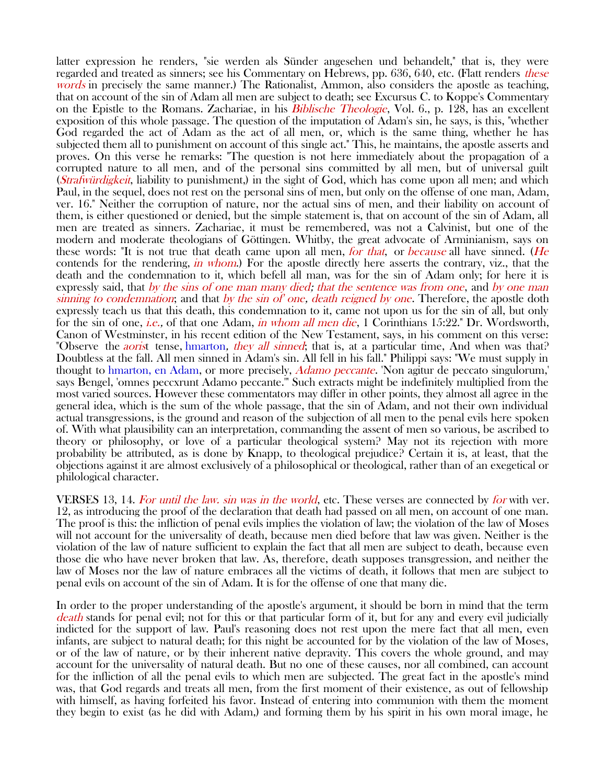latter expression he renders, "sie werden als Sünder angesehen und behandelt," that is, they were regarded and treated as sinners; see his Commentary on Hebrews, pp. 636, 640, etc. (Flatt renders these words in precisely the same manner.) The Rationalist, Ammon, also considers the apostle as teaching, that on account of the sin of Adam all men are subject to death; see Excursus C. to Koppe's Commentary on the Epistle to the Romans. Zachariae, in his *Biblische Theologie*, Vol. 6., p. 128, has an excellent exposition of this whole passage. The question of the imputation of Adam's sin, he says, is this, "whether God regarded the act of Adam as the act of all men, or, which is the same thing, whether he has subjected them all to punishment on account of this single act." This, he maintains, the apostle asserts and proves. On this verse he remarks: "The question is not here immediately about the propagation of a corrupted nature to all men, and of the personal sins committed by all men, but of universal guilt (Strafwürdigkeit, liability to punishment,) in the sight of God, which has come upon all men; and which Paul, in the sequel, does not rest on the personal sins of men, but only on the offense of one man, Adam, ver. 16." Neither the corruption of nature, nor the actual sins of men, and their liability on account of them, is either questioned or denied, but the simple statement is, that on account of the sin of Adam, all men are treated as sinners. Zachariae, it must be remembered, was not a Calvinist, but one of the modern and moderate theologians of Göttingen. Whitby, the great advocate of Arminianism, says on these words: "It is not true that death came upon all men, for that, or because all have sinned. (He contends for the rendering, in whom.) For the apostle directly here asserts the contrary, viz., that the death and the condemnation to it, which befell all man, was for the sin of Adam only; for here it is expressly said, that by the sins of one man many died; that the sentence was from one, and by one man sinning to condemnation; and that by the sin of one, death reigned by one. Therefore, the apostle doth expressly teach us that this death, this condemnation to it, came not upon us for the sin of all, but only for the sin of one, *i.e.*, of that one Adam, *in whom all men die*, 1 Corinthians 15:22." Dr. Wordsworth, Canon of Westminster, in his recent edition of the New Testament, says, in his comment on this verse: "Observe the *aorist* tense, hmarton, *they all sinned*; that is, at a particular time, And when was that?" Doubtless at the fall. All men sinned in Adam's sin. All fell in his fall." Philippi says: "We must supply in thought to hmarton, en Adam, or more precisely, Adamo peccante. Non agitur de peccato singulorum, says Bengel, 'omnes peccxrunt Adamo peccante.'" Such extracts might be indefinitely multiplied from the most varied sources. However these commentators may differ in other points, they almost all agree in the general idea, which is the sum of the whole passage, that the sin of Adam, and not their own individual actual transgressions, is the ground and reason of the subjection of all men to the penal evils here spoken of. With what plausibility can an interpretation, commanding the assent of men so various, be ascribed to theory or philosophy, or love of a particular theological system? May not its rejection with more probability be attributed, as is done by Knapp, to theological prejudice? Certain it is, at least, that the objections against it are almost exclusively of a philosophical or theological, rather than of an exegetical or philological character.

VERSES 13, 14. For until the law. sin was in the world, etc. These verses are connected by for with ver. 12, as introducing the proof of the declaration that death had passed on all men, on account of one man. The proof is this: the infliction of penal evils implies the violation of law; the violation of the law of Moses will not account for the universality of death, because men died before that law was given. Neither is the violation of the law of nature sufficient to explain the fact that all men are subject to death, because even those die who have never broken that law. As, therefore, death supposes transgression, and neither the law of Moses nor the law of nature embraces all the victims of death, it follows that men are subject to penal evils on account of the sin of Adam. It is for the offense of one that many die.

In order to the proper understanding of the apostle's argument, it should be born in mind that the term death stands for penal evil; not for this or that particular form of it, but for any and every evil judicially indicted for the support of law. Paul's reasoning does not rest upon the mere fact that all men, even infants, are subject to natural death; for this night be accounted for by the violation of the law of Moses, or of the law of nature, or by their inherent native depravity. This covers the whole ground, and may account for the universality of natural death. But no one of these causes, nor all combined, can account for the infliction of all the penal evils to which men are subjected. The great fact in the apostle's mind was, that God regards and treats all men, from the first moment of their existence, as out of fellowship with himself, as having forfeited his favor. Instead of entering into communion with them the moment they begin to exist (as he did with Adam,) and forming them by his spirit in his own moral image, he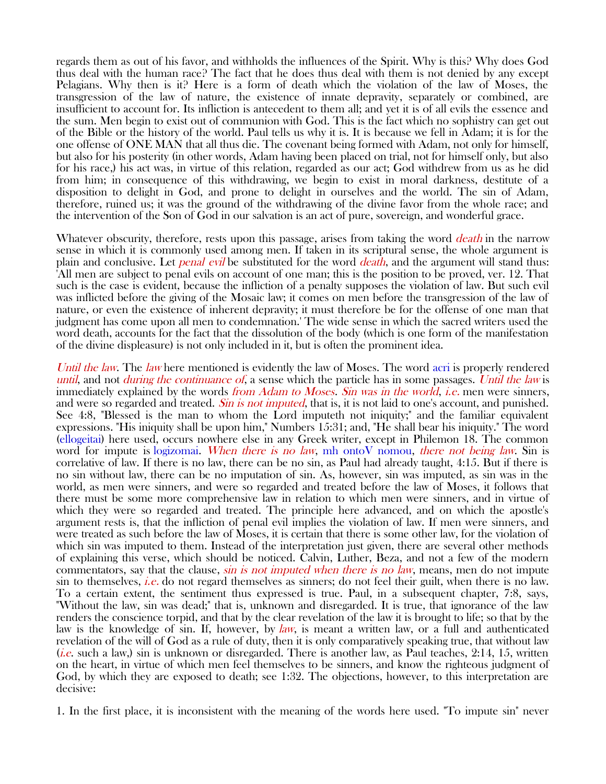regards them as out of his favor, and withholds the influences of the Spirit. Why is this? Why does God thus deal with the human race? The fact that he does thus deal with them is not denied by any except Pelagians. Why then is it? Here is a form of death which the violation of the law of Moses, the transgression of the law of nature, the existence of innate depravity, separately or combined, are insufficient to account for. Its infliction is antecedent to them all; and yet it is of all evils the essence and the sum. Men begin to exist out of communion with God. This is the fact which no sophistry can get out of the Bible or the history of the world. Paul tells us why it is. It is because we fell in Adam; it is for the one offense of ONE MAN that all thus die. The covenant being formed with Adam, not only for himself, but also for his posterity (in other words, Adam having been placed on trial, not for himself only, but also for his race,) his act was, in virtue of this relation, regarded as our act; God withdrew from us as he did from him; in consequence of this withdrawing, we begin to exist in moral darkness, destitute of a disposition to delight in God, and prone to delight in ourselves and the world. The sin of Adam, therefore, ruined us; it was the ground of the withdrawing of the divine favor from the whole race; and the intervention of the Son of God in our salvation is an act of pure, sovereign, and wonderful grace.

Whatever obscurity, therefore, rests upon this passage, arises from taking the word *death* in the narrow sense in which it is commonly used among men. If taken in its scriptural sense, the whole argument is plain and conclusive. Let *penal evil* be substituted for the word *death*, and the argument will stand thus: 'All men are subject to penal evils on account of one man; this is the position to be proved, ver. 12. That such is the case is evident, because the infliction of a penalty supposes the violation of law. But such evil was inflicted before the giving of the Mosaic law; it comes on men before the transgression of the law of nature, or even the existence of inherent depravity; it must therefore be for the offense of one man that judgment has come upon all men to condemnation.' The wide sense in which the sacred writers used the word death, accounts for the fact that the dissolution of the body (which is one form of the manifestation of the divine displeasure) is not only included in it, but is often the prominent idea.

Until the law. The law here mentioned is evidently the law of Moses. The word acri is properly rendered until, and not *during the continuance of*, a sense which the particle has in some passages. Until the law is immediately explained by the words *from Adam to Moses. Sin was in the world, i.e.* men were sinners, and were so regarded and treated. Sin is not imputed, that is, it is not laid to one's account, and punished. See 4:8, "Blessed is the man to whom the Lord imputeth not iniquity;" and the familiar equivalent expressions. "His iniquity shall be upon him," Numbers 15:31; and, "He shall bear his iniquity." The word (ellogeitai) here used, occurs nowhere else in any Greek writer, except in Philemon 18. The common word for impute is logizomai. When there is no law, mh ontoV nomou, there not being law. Sin is correlative of law. If there is no law, there can be no sin, as Paul had already taught, 4:15. But if there is no sin without law, there can be no imputation of sin. As, however, sin was imputed, as sin was in the world, as men were sinners, and were so regarded and treated before the law of Moses, it follows that there must be some more comprehensive law in relation to which men were sinners, and in virtue of which they were so regarded and treated. The principle here advanced, and on which the apostle's argument rests is, that the infliction of penal evil implies the violation of law. If men were sinners, and were treated as such before the law of Moses, it is certain that there is some other law, for the violation of which sin was imputed to them. Instead of the interpretation just given, there are several other methods of explaining this verse, which should be noticed. Calvin, Luther, Beza, and not a few of the modern commentators, say that the clause, *sin is not imputed when there is no law*, means, men do not impute sin to themselves, i.e. do not regard themselves as sinners; do not feel their guilt, when there is no law. To a certain extent, the sentiment thus expressed is true. Paul, in a subsequent chapter, 7:8, says, "Without the law, sin was dead;" that is, unknown and disregarded. It is true, that ignorance of the law renders the conscience torpid, and that by the clear revelation of the law it is brought to life; so that by the law is the knowledge of sin. If, however, by *law*, is meant a written law, or a full and authenticated revelation of the will of God as a rule of duty, then it is only comparatively speaking true, that without law (*i.e.* such a law,) sin is unknown or disregarded. There is another law, as Paul teaches,  $2:14$ , 15, written on the heart, in virtue of which men feel themselves to be sinners, and know the righteous judgment of God, by which they are exposed to death; see 1:32. The objections, however, to this interpretation are decisive:

1. In the first place, it is inconsistent with the meaning of the words here used. "To impute sin" never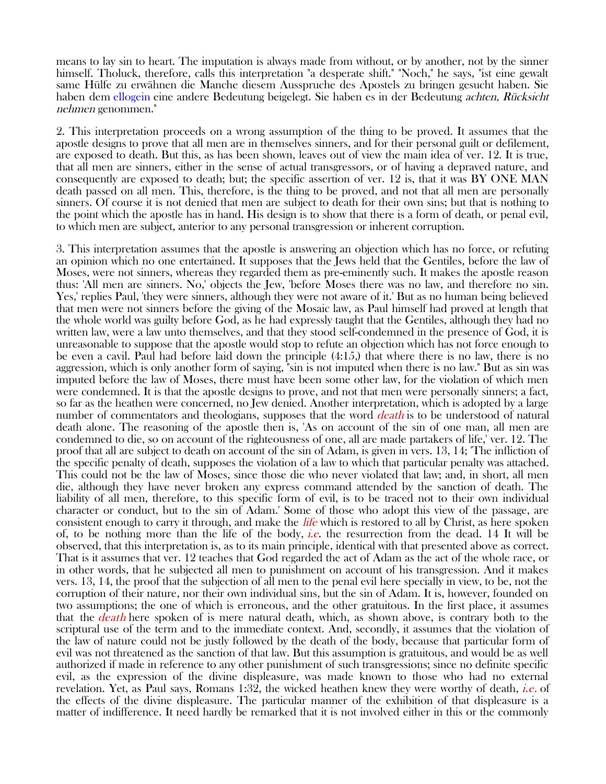means to lay sin to heart. The imputation is always made from without, or by another, not by the sinner himself. Tholuck, therefore, calls this interpretation "a desperate shift." "Noch," he says, "ist eine gewalt same Hülfe zu erwähnen die Manche diesem Ausspruche des Apostels zu bringen gesucht haben. Sie haben dem ellogein eine andere Bedeutung beigelegt. Sie haben es in der Bedeutung *achten, Rücksicht* nehmen genommen."

2. This interpretation proceeds on a wrong assumption of the thing to be proved. It assumes that the apostle designs to prove that all men are in themselves sinners, and for their personal guilt or defilement, are exposed to death. But this, as has been shown, leaves out of view the main idea of ver. 12. It is true, that all men are sinners, either in the sense of actual transgressors, or of having a depraved nature, and consequently are exposed to death; but; the specific assertion of ver. 12 is, that it was BY ONE MAN death passed on all men. This, therefore, is the thing to be proved, and not that all men are personally sinners. Of course it is not denied that men are subject to death for their own sins; but that is nothing to the point which the apostle has in hand. His design is to show that there is a form of death, or penal evil, to which men are subject, anterior to any personal transgression or inherent corruption.

3. This interpretation assumes that the apostle is answering an objection which has no force, or refuting an opinion which no one entertained. It supposes that the Jews held that the Gentiles, before the law of Moses, were not sinners, whereas they regarded them as pre-eminently such. It makes the apostle reason thus: 'All men are sinners. No,' objects the Jew, 'before Moses there was no law, and therefore no sin. Yes,' replies Paul, 'they were sinners, although they were not aware of it.' But as no human being believed that men were not sinners before the giving of the Mosaic law, as Paul himself had proved at length that the whole world was guilty before God, as he had expressly taught that the Gentiles, although they had no written law, were a law unto themselves, and that they stood self-condemned in the presence of God, it is unreasonable to suppose that the apostle would stop to refute an objection which has not force enough to be even a cavil. Paul had before laid down the principle (4:15,) that where there is no law, there is no aggression, which is only another form of saying, "sin is not imputed when there is no law." But as sin was imputed before the law of Moses, there must have been some other law, for the violation of which men were condemned. It is that the apostle designs to prove, and not that men were personally sinners; a fact, so far as the heathen were concerned, no Jew denied. Another interpretation, which is adopted by a large number of commentators and theologians, supposes that the word *death* is to be understood of natural death alone. The reasoning of the apostle then is, 'As on account of the sin of one man, all men are condemned to die, so on account of the righteousness of one, all are made partakers of life,' ver. 12. The proof that all are subject to death on account of the sin of Adam, is given in vers. 13, 14; 'The infliction of the specific penalty of death, supposes the violation of a law to which that particular penalty was attached. This could not be the law of Moses, since those die who never violated that law; and, in short, all men die, although they have never broken any express command attended by the sanction of death. The liability of all men, therefore, to this specific form of evil, is to be traced not to their own individual character or conduct, but to the sin of Adam.' Some of those who adopt this view of the passage, are consistent enough to carry it through, and make the *life* which is restored to all by Christ, as here spoken of, to be nothing more than the life of the body, i.e. the resurrection from the dead. 14 It will be observed, that this interpretation is, as to its main principle, identical with that presented above as correct. That is it assumes that ver. 12 teaches that God regarded the act of Adam as the act of the whole race, or in other words, that he subjected all men to punishment on account of his transgression. And it makes vers. 13, 14, the proof that the subjection of all men to the penal evil here specially in view, to be, not the corruption of their nature, nor their own individual sins, but the sin of Adam. It is, however, founded on two assumptions; the one of which is erroneous, and the other gratuitous. In the first place, it assumes that the *death* here spoken of is mere natural death, which, as shown above, is contrary both to the scriptural use of the term and to the immediate context. And, secondly, it assumes that the violation of the law of nature could not be justly followed by the death of the body, because that particular form of evil was not threatened as the sanction of that law. But this assumption is gratuitous, and would be as well authorized if made in reference to any other punishment of such transgressions; since no definite specific evil, as the expression of the divine displeasure, was made known to those who had no external revelation. Yet, as Paul says, Romans 1:32, the wicked heathen knew they were worthy of death, i.e. of the effects of the divine displeasure. The particular manner of the exhibition of that displeasure is a matter of indifference. It need hardly be remarked that it is not involved either in this or the commonly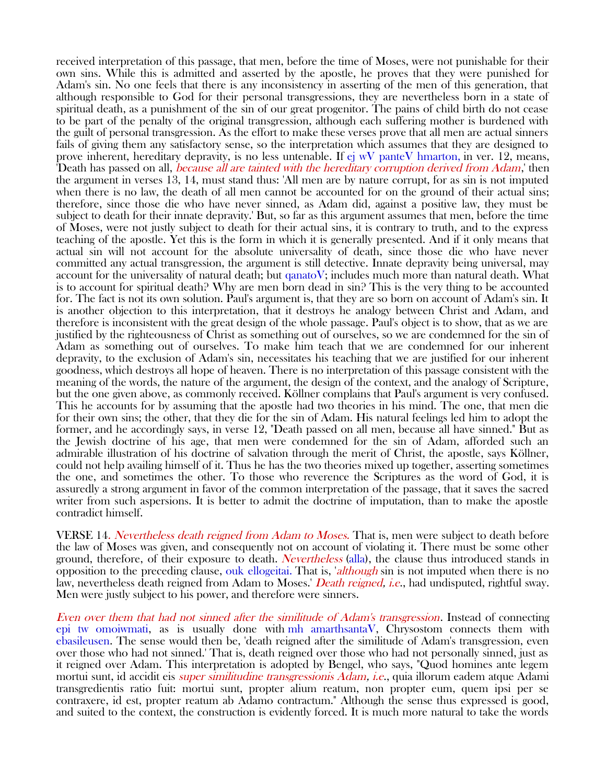received interpretation of this passage, that men, before the time of Moses, were not punishable for their own sins. While this is admitted and asserted by the apostle, he proves that they were punished for Adam's sin. No one feels that there is any inconsistency in asserting of the men of this generation, that although responsible to God for their personal transgressions, they are nevertheless born in a state of spiritual death, as a punishment of the sin of our great progenitor. The pains of child birth do not cease to be part of the penalty of the original transgression, although each suffering mother is burdened with the guilt of personal transgression. As the effort to make these verses prove that all men are actual sinners fails of giving them any satisfactory sense, so the interpretation which assumes that they are designed to prove inherent, hereditary depravity, is no less untenable. If ej wV panteV hmarton, in ver. 12, means, 'Death has passed on all, *because all are tainted with the hereditary corruption derived from Adam*,' then the argument in verses 13, 14, must stand thus: 'All men are by nature corrupt, for as sin is not imputed when there is no law, the death of all men cannot be accounted for on the ground of their actual sins; therefore, since those die who have never sinned, as Adam did, against a positive law, they must be subject to death for their innate depravity.' But, so far as this argument assumes that men, before the time of Moses, were not justly subject to death for their actual sins, it is contrary to truth, and to the express teaching of the apostle. Yet this is the form in which it is generally presented. And if it only means that actual sin will not account for the absolute universality of death, since those die who have never committed any actual transgression, the argument is still detective. Innate depravity being universal, may account for the universality of natural death; but qanatoV; includes much more than natural death. What is to account for spiritual death? Why are men born dead in sin? This is the very thing to be accounted for. The fact is not its own solution. Paul's argument is, that they are so born on account of Adam's sin. It is another objection to this interpretation, that it destroys he analogy between Christ and Adam, and therefore is inconsistent with the great design of the whole passage. Paul's object is to show, that as we are justified by the righteousness of Christ as something out of ourselves, so we are condemned for the sin of Adam as something out of ourselves. To make him teach that we are condemned for our inherent depravity, to the exclusion of Adam's sin, necessitates his teaching that we are justified for our inherent goodness, which destroys all hope of heaven. There is no interpretation of this passage consistent with the meaning of the words, the nature of the argument, the design of the context, and the analogy of Scripture, but the one given above, as commonly received. Köllner complains that Paul's argument is very confused. This he accounts for by assuming that the apostle had two theories in his mind. The one, that men die for their own sins; the other, that they die for the sin of Adam. His natural feelings led him to adopt the former, and he accordingly says, in verse 12, "Death passed on all men, because all have sinned." But as the Jewish doctrine of his age, that men were condemned for the sin of Adam, afforded such an admirable illustration of his doctrine of salvation through the merit of Christ, the apostle, says Köllner, could not help availing himself of it. Thus he has the two theories mixed up together, asserting sometimes the one, and sometimes the other. To those who reverence the Scriptures as the word of God, it is assuredly a strong argument in favor of the common interpretation of the passage, that it saves the sacred writer from such aspersions. It is better to admit the doctrine of imputation, than to make the apostle contradict himself.

VERSE 14. Nevertheless death reigned from Adam to Moses. That is, men were subject to death before the law of Moses was given, and consequently not on account of violating it. There must be some other ground, therefore, of their exposure to death. *Nevertheless* (alla), the clause thus introduced stands in opposition to the preceding clause, ouk ellogeitai. That is, 'although sin is not imputed when there is no law, nevertheless death reigned from Adam to Moses.' *Death reigned, i.e.*, had undisputed, rightful sway. Men were justly subject to his power, and therefore were sinners.

Even over them that had not sinned after the similitude of Adam's transgression. Instead of connecting epi tw omoiwmati, as is usually done with  $mh$  amarthsantaV, Chrysostom connects them with ebasileusen. The sense would then be, 'death reigned after the similitude of Adam's transgression, even over those who had not sinned.' That is, death reigned over those who had not personally sinned, just as it reigned over Adam. This interpretation is adopted by Bengel, who says, "Quod homines ante legem mortui sunt, id accidit eis *super similitudine transgressionis Adam, i.e.*, quia illorum eadem atque Adami transgredientis ratio fuit: mortui sunt, propter alium reatum, non propter eum, quem ipsi per se contraxere, id est, propter reatum ab Adamo contractum." Although the sense thus expressed is good, and suited to the context, the construction is evidently forced. It is much more natural to take the words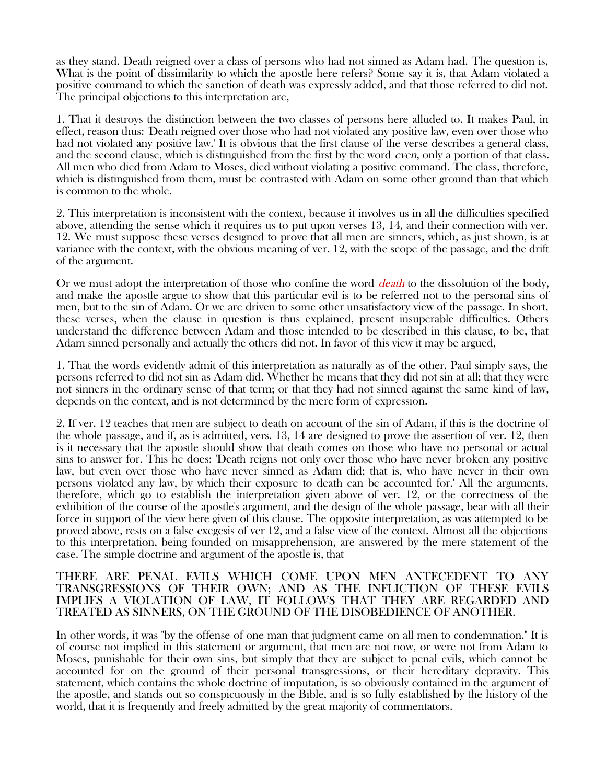as they stand. Death reigned over a class of persons who had not sinned as Adam had. The question is, What is the point of dissimilarity to which the apostle here refers? Some say it is, that Adam violated a positive command to which the sanction of death was expressly added, and that those referred to did not. The principal objections to this interpretation are,

1. That it destroys the distinction between the two classes of persons here alluded to. It makes Paul, in effect, reason thus: 'Death reigned over those who had not violated any positive law, even over those who had not violated any positive law.' It is obvious that the first clause of the verse describes a general class, and the second clause, which is distinguished from the first by the word *even*, only a portion of that class. All men who died from Adam to Moses, died without violating a positive command. The class, therefore, which is distinguished from them, must be contrasted with Adam on some other ground than that which is common to the whole.

2. This interpretation is inconsistent with the context, because it involves us in all the difficulties specified above, attending the sense which it requires us to put upon verses 13, 14, and their connection with ver. 12. We must suppose these verses designed to prove that all men are sinners, which, as just shown, is at variance with the context, with the obvious meaning of ver. 12, with the scope of the passage, and the drift of the argument.

Or we must adopt the interpretation of those who confine the word *death* to the dissolution of the body, and make the apostle argue to show that this particular evil is to be referred not to the personal sins of men, but to the sin of Adam. Or we are driven to some other unsatisfactory view of the passage. In short, these verses, when the clause in question is thus explained, present insuperable difficulties. Others understand the difference between Adam and those intended to be described in this clause, to be, that Adam sinned personally and actually the others did not. In favor of this view it may be argued,

1. That the words evidently admit of this interpretation as naturally as of the other. Paul simply says, the persons referred to did not sin as Adam did. Whether he means that they did not sin at all; that they were not sinners in the ordinary sense of that term; or that they had not sinned against the same kind of law, depends on the context, and is not determined by the mere form of expression.

2. If ver. 12 teaches that men are subject to death on account of the sin of Adam, if this is the doctrine of the whole passage, and if, as is admitted, vers. 13, 14 are designed to prove the assertion of ver. 12, then is it necessary that the apostle should show that death comes on those who have no personal or actual sins to answer for. This he does: 'Death reigns not only over those who have never broken any positive law, but even over those who have never sinned as Adam did; that is, who have never in their own persons violated any law, by which their exposure to death can be accounted for.' All the arguments, therefore, which go to establish the interpretation given above of ver. 12, or the correctness of the exhibition of the course of the apostle's argument, and the design of the whole passage, bear with all their force in support of the view here given of this clause. The opposite interpretation, as was attempted to be proved above, rests on a false exegesis of ver 12, and a false view of the context. Almost all the objections to this interpretation, being founded on misapprehension, are answered by the mere statement of the case. The simple doctrine and argument of the apostle is, that

## THERE ARE PENAL EVILS WHICH COME UPON MEN ANTECEDENT TO ANY TRANSGRESSIONS OF THEIR OWN; AND AS THE INFLICTION OF THESE EVILS IMPLIES A VIOLATION OF LAW, IT FOLLOWS THAT THEY ARE REGARDED AND TREATED AS SINNERS, ON THE GROUND OF THE DISOBEDIENCE OF ANOTHER.

In other words, it was "by the offense of one man that judgment came on all men to condemnation." It is of course not implied in this statement or argument, that men are not now, or were not from Adam to Moses, punishable for their own sins, but simply that they are subject to penal evils, which cannot be accounted for on the ground of their personal transgressions, or their hereditary depravity. This statement, which contains the whole doctrine of imputation, is so obviously contained in the argument of the apostle, and stands out so conspicuously in the Bible, and is so fully established by the history of the world, that it is frequently and freely admitted by the great majority of commentators.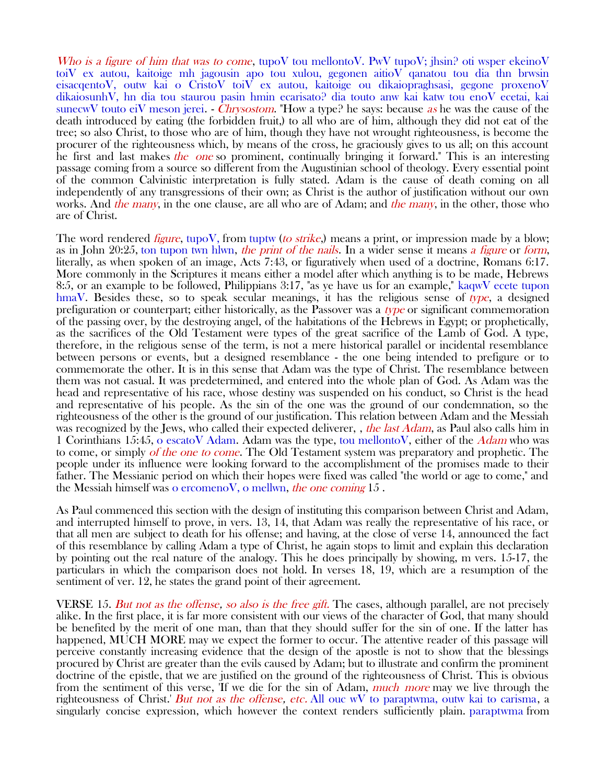Who is a figure of him that was to come, tupoV tou mellontoV. PwV tupoV; jhsin? oti wsper ekeinoV toiV ex autou, kaitoige mh jagousin apo tou xulou, gegonen aitioV qanatou tou dia thn brwsin eisacqentoV, outw kai o CristoV toiV ex autou, kaitoige ou dikaiopraghsasi, gegone proxenoV dikaiosunhV, hn dia tou staurou pasin hmin ecarisato? dia touto anw kai katw tou enoV ecetai, kai sunecwV touto eiV meson jerei. - *Chrysostom*. "How a type? he says: because *as* he was the cause of the death introduced by eating (the forbidden fruit,) to all who are of him, although they did not eat of the tree; so also Christ, to those who are of him, though they have not wrought righteousness, is become the procurer of the righteousness which, by means of the cross, he graciously gives to us all; on this account he first and last makes *the one* so prominent, continually bringing it forward." This is an interesting passage coming from a source so different from the Augustinian school of theology. Every essential point of the common Calvinistic interpretation is fully stated. Adam is the cause of death coming on all independently of any transgressions of their own; as Christ is the author of justification without our own works. And *the many*, in the one clause, are all who are of Adam; and *the many*, in the other, those who are of Christ.

The word rendered *figure*, tupoV, from tuptw (to *strike*,) means a print, or impression made by a blow; as in John 20:25, ton tupon twn hlwn, *the print of the nails*. In a wider sense it means a figure or form, literally, as when spoken of an image, Acts 7:43, or figuratively when used of a doctrine, Romans 6:17. More commonly in the Scriptures it means either a model after which anything is to be made, Hebrews 8:5, or an example to be followed, Philippians 3:17, "as ye have us for an example," kaqwV ecete tupon hmaV. Besides these, so to speak secular meanings, it has the religious sense of type, a designed prefiguration or counterpart; either historically, as the Passover was a type or significant commemoration of the passing over, by the destroying angel, of the habitations of the Hebrews in Egypt; or prophetically, as the sacrifices of the Old Testament were types of the great sacrifice of the Lamb of God. A type, therefore, in the religious sense of the term, is not a mere historical parallel or incidental resemblance between persons or events, but a designed resemblance - the one being intended to prefigure or to commemorate the other. It is in this sense that Adam was the type of Christ. The resemblance between them was not casual. It was predetermined, and entered into the whole plan of God. As Adam was the head and representative of his race, whose destiny was suspended on his conduct, so Christ is the head and representative of his people. As the sin of the one was the ground of our condemnation, so the righteousness of the other is the ground of our justification. This relation between Adam and the Messiah was recognized by the Jews, who called their expected deliverer, , the last Adam, as Paul also calls him in 1 Corinthians 15:45, o escatoV Adam. Adam was the type, tou mellontoV, either of the Adam who was to come, or simply *of the one to come*. The Old Testament system was preparatory and prophetic. The people under its influence were looking forward to the accomplishment of the promises made to their father. The Messianic period on which their hopes were fixed was called "the world or age to come," and the Messiah himself was o ercomenoV, o mellwn, *the one coming* 15.

As Paul commenced this section with the design of instituting this comparison between Christ and Adam, and interrupted himself to prove, in vers. 13, 14, that Adam was really the representative of his race, or that all men are subject to death for his offense; and having, at the close of verse 14, announced the fact of this resemblance by calling Adam a type of Christ, he again stops to limit and explain this declaration by pointing out the real nature of the analogy. This he does principally by showing, m vers. 15-17, the particulars in which the comparison does not hold. In verses 18, 19, which are a resumption of the sentiment of ver. 12, he states the grand point of their agreement.

VERSE 15. But not as the offense, so also is the free gift. The cases, although parallel, are not precisely alike. In the first place, it is far more consistent with our views of the character of God, that many should be benefited by the merit of one man, than that they should suffer for the sin of one. If the latter has happened, MUCH MORE may we expect the former to occur. The attentive reader of this passage will perceive constantly increasing evidence that the design of the apostle is not to show that the blessings procured by Christ are greater than the evils caused by Adam; but to illustrate and confirm the prominent doctrine of the epistle, that we are justified on the ground of the righteousness of Christ. This is obvious from the sentiment of this verse, 'If we die for the sin of Adam, *much more* may we live through the righteousness of Christ.' But not as the offense, etc. All ouc wV to paraptwma, outw kai to carisma, a singularly concise expression, which however the context renders sufficiently plain. paraptwma from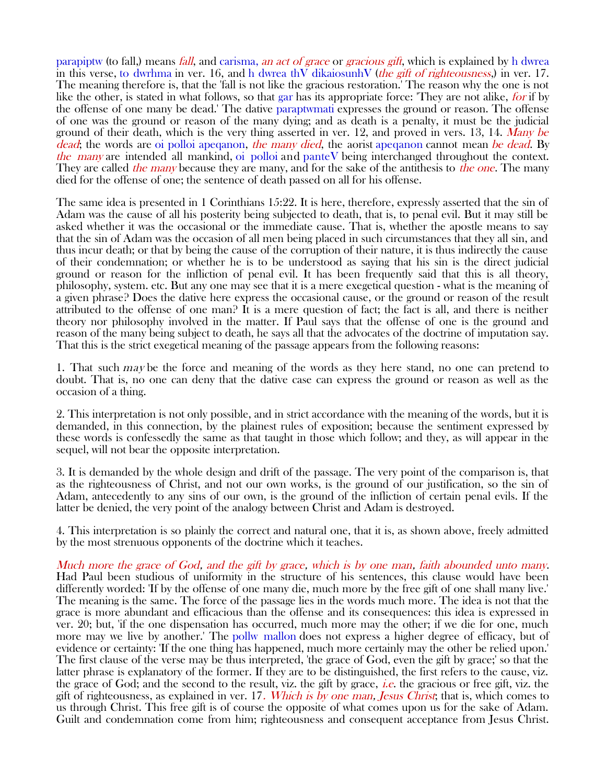parapiptw (to fall,) means *fall*, and carisma, an act of grace or gracious gift, which is explained by h dwrea in this verse, to dwrhma in ver. 16, and h dwrea thV dikaiosunhV (*the gift of righteousness*,) in ver. 17. The meaning therefore is, that the 'fall is not like the gracious restoration.' The reason why the one is not like the other, is stated in what follows, so that gar has its appropriate force: 'They are not alike, for if by the offense of one many be dead.' The dative paraptwmati expresses the ground or reason. The offense of one was the ground or reason of the many dying; and as death is a penalty, it must be the judicial ground of their death, which is the very thing asserted in ver. 12, and proved in vers. 13, 14. Many be dead; the words are oi polloi apeqanon, the many died, the aorist apeqanon cannot mean be dead. By the many are intended all mankind, oi polloi and panteV being interchanged throughout the context. They are called *the many* because they are many, and for the sake of the antithesis to *the one*. The many died for the offense of one; the sentence of death passed on all for his offense.

The same idea is presented in 1 Corinthians 15:22. It is here, therefore, expressly asserted that the sin of Adam was the cause of all his posterity being subjected to death, that is, to penal evil. But it may still be asked whether it was the occasional or the immediate cause. That is, whether the apostle means to say that the sin of Adam was the occasion of all men being placed in such circumstances that they all sin, and thus incur death; or that by being the cause of the corruption of their nature, it is thus indirectly the cause of their condemnation; or whether he is to be understood as saying that his sin is the direct judicial ground or reason for the infliction of penal evil. It has been frequently said that this is all theory, philosophy, system. etc. But any one may see that it is a mere exegetical question - what is the meaning of a given phrase? Does the dative here express the occasional cause, or the ground or reason of the result attributed to the offense of one man? It is a mere question of fact; the fact is all, and there is neither theory nor philosophy involved in the matter. If Paul says that the offense of one is the ground and reason of the many being subject to death, he says all that the advocates of the doctrine of imputation say. That this is the strict exegetical meaning of the passage appears from the following reasons:

1. That such may be the force and meaning of the words as they here stand, no one can pretend to doubt. That is, no one can deny that the dative case can express the ground or reason as well as the occasion of a thing.

2. This interpretation is not only possible, and in strict accordance with the meaning of the words, but it is demanded, in this connection, by the plainest rules of exposition; because the sentiment expressed by these words is confessedly the same as that taught in those which follow; and they, as will appear in the sequel, will not bear the opposite interpretation.

3. It is demanded by the whole design and drift of the passage. The very point of the comparison is, that as the righteousness of Christ, and not our own works, is the ground of our justification, so the sin of Adam, antecedently to any sins of our own, is the ground of the infliction of certain penal evils. If the latter be denied, the very point of the analogy between Christ and Adam is destroyed.

4. This interpretation is so plainly the correct and natural one, that it is, as shown above, freely admitted by the most strenuous opponents of the doctrine which it teaches.

Much more the grace of God, and the gift by grace, which is by one man, faith abounded unto many. Had Paul been studious of uniformity in the structure of his sentences, this clause would have been differently worded: 'If by the offense of one many die, much more by the free gift of one shall many live.' The meaning is the same. The force of the passage lies in the words much more. The idea is not that the grace is more abundant and efficacious than the offense and its consequences: this idea is expressed in ver. 20; but, 'if the one dispensation has occurred, much more may the other; if we die for one, much more may we live by another.' The pollw mallon does not express a higher degree of efficacy, but of evidence or certainty: 'If the one thing has happened, much more certainly may the other be relied upon.' The first clause of the verse may be thus interpreted, 'the grace of God, even the gift by grace;' so that the latter phrase is explanatory of the former. If they are to be distinguished, the first refers to the cause, viz. the grace of God; and the second to the result, viz. the gift by grace, i.e. the gracious or free gift, viz. the gift of righteousness, as explained in ver. 17. Which is by one man, Jesus Christ; that is, which comes to us through Christ. This free gift is of course the opposite of what comes upon us for the sake of Adam. Guilt and condemnation come from him; righteousness and consequent acceptance from Jesus Christ.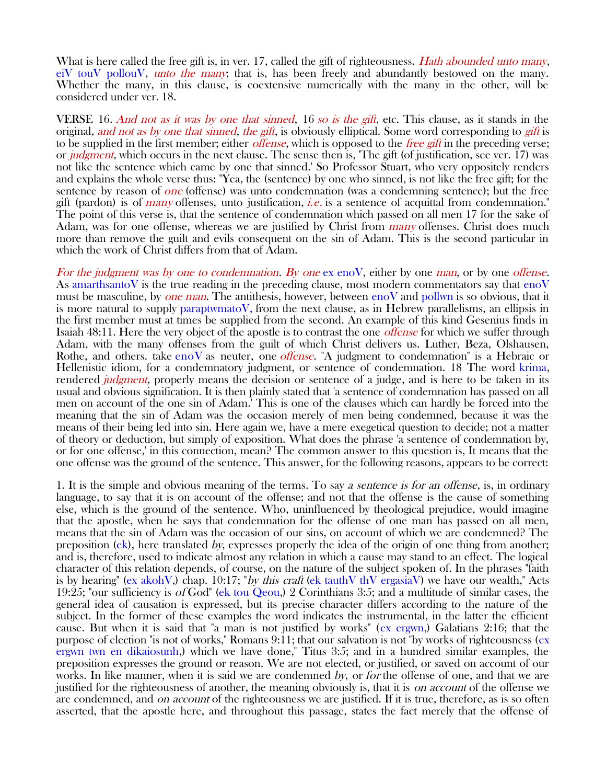What is here called the free gift is, in ver. 17, called the gift of righteousness. *Hath abounded unto many*,  $eiV$  touV pollouV, *unto the many*; that is, has been freely and abundantly bestowed on the many. Whether the many, in this clause, is coextensive numerically with the many in the other, will be considered under ver. 18.

VERSE 16. And not as it was by one that sinned, 16 so is the gift, etc. This clause, as it stands in the original, and not as by one that sinned, the gift, is obviously elliptical. Some word corresponding to gift is to be supplied in the first member; either *offense*, which is opposed to the *free gift* in the preceding verse; or *judgment*, which occurs in the next clause. The sense then is, The gift (of justification, see ver. 17) was not like the sentence which came by one that sinned.' So Professor Stuart, who very oppositely renders and explains the whole verse thus: "Yea, the (sentence) by one who sinned, is not like the free gift; for the sentence by reason of *one* (offense) was unto condemnation (was a condemning sentence); but the free gift (pardon) is of *many* offenses, unto justification, *i.e.* is a sentence of acquittal from condemnation." The point of this verse is, that the sentence of condemnation which passed on all men 17 for the sake of Adam, was for one offense, whereas we are justified by Christ from *many* offenses. Christ does much more than remove the guilt and evils consequent on the sin of Adam. This is the second particular in which the work of Christ differs from that of Adam.

For the judgment was by one to condemnation. By one  $ex$  enoV, either by one man, or by one offense. As amarthsantoV is the true reading in the preceding clause, most modern commentators say that enoV must be masculine, by one man. The antithesis, however, between enoV and pollwn is so obvious, that it is more natural to supply paraptwmatoV, from the next clause, as in Hebrew parallelisms, an ellipsis in the first member must at times be supplied from the second. An example of this kind Gesenius finds in Isaiah 48:11. Here the very object of the apostle is to contrast the one *offense* for which we suffer through Adam, with the many offenses from the guilt of which Christ delivers us. Luther, Beza, Olshausen, Rothe, and others. take enoV as neuter, one *offense*. "A judgment to condemnation" is a Hebraic or Hellenistic idiom, for a condemnatory judgment, or sentence of condemnation. 18 The word krima, rendered *judgment*, properly means the decision or sentence of a judge, and is here to be taken in its usual and obvious signification. It is then plainly stated that 'a sentence of condemnation has passed on all men on account of the one sin of Adam.' This is one of the clauses which can hardly be forced into the meaning that the sin of Adam was the occasion merely of men being condemned, because it was the means of their being led into sin. Here again we, have a mere exegetical question to decide; not a matter of theory or deduction, but simply of exposition. What does the phrase 'a sentence of condemnation by, or for one offense,' in this connection, mean? The common answer to this question is, It means that the one offense was the ground of the sentence. This answer, for the following reasons, appears to be correct:

1. It is the simple and obvious meaning of the terms. To say a sentence is for an offense, is, in ordinary language, to say that it is on account of the offense; and not that the offense is the cause of something else, which is the ground of the sentence. Who, uninfluenced by theological prejudice, would imagine that the apostle, when he says that condemnation for the offense of one man has passed on all men, means that the sin of Adam was the occasion of our sins, on account of which we are condemned? The preposition (ek), here translated by, expresses properly the idea of the origin of one thing from another; and is, therefore, used to indicate almost any relation in which a cause may stand to an effect. The logical character of this relation depends, of course, on the nature of the subject spoken of. In the phrases "faith is by hearing" (ex akohV,) chap. 10:17; "by this craft (ek tauthV thV ergasiaV) we have our wealth," Acts 19:25; "our sufficiency is  $of God$ " (ek tou Qeou,) 2 Corinthians 3:5; and a multitude of similar cases, the general idea of causation is expressed, but its precise character differs according to the nature of the subject. In the former of these examples the word indicates the instrumental, in the latter the efficient cause. But when it is said that "a man is not justified by works" (ex ergwn,) Galatians 2:16; that the purpose of election "is not of works," Romans 9:11; that our salvation is not "by works of righteousness (ex ergwn twn en dikaiosunh,) which we have done," Titus 3:5; and in a hundred similar examples, the preposition expresses the ground or reason. We are not elected, or justified, or saved on account of our works. In like manner, when it is said we are condemned by, or for the offense of one, and that we are justified for the righteousness of another, the meaning obviously is, that it is on account of the offense we are condemned, and *on account* of the righteousness we are justified. If it is true, therefore, as is so often asserted, that the apostle here, and throughout this passage, states the fact merely that the offense of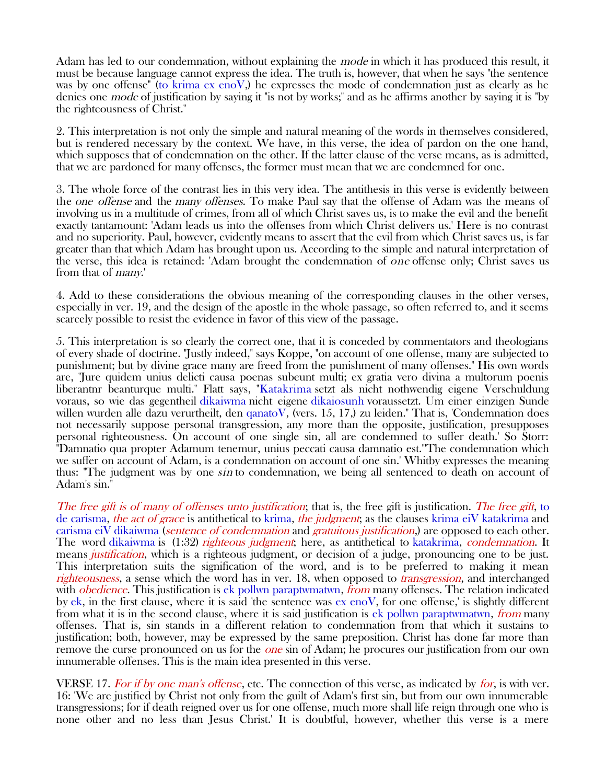Adam has led to our condemnation, without explaining the *mode* in which it has produced this result, it must be because language cannot express the idea. The truth is, however, that when he says "the sentence was by one offense" (to krima ex enoV,) he expresses the mode of condemnation just as clearly as he denies one *mode* of justification by saying it "is not by works;" and as he affirms another by saying it is "by the righteousness of Christ."

2. This interpretation is not only the simple and natural meaning of the words in themselves considered, but is rendered necessary by the context. We have, in this verse, the idea of pardon on the one hand, which supposes that of condemnation on the other. If the latter clause of the verse means, as is admitted, that we are pardoned for many offenses, the former must mean that we are condemned for one.

3. The whole force of the contrast lies in this very idea. The antithesis in this verse is evidently between the *one* offense and the many offenses. To make Paul say that the offense of Adam was the means of involving us in a multitude of crimes, from all of which Christ saves us, is to make the evil and the benefit exactly tantamount: 'Adam leads us into the offenses from which Christ delivers us.' Here is no contrast and no superiority. Paul, however, evidently means to assert that the evil from which Christ saves us, is far greater than that which Adam has brought upon us. According to the simple and natural interpretation of the verse, this idea is retained: 'Adam brought the condemnation of *one* offense only; Christ saves us from that of *many*.'

4. Add to these considerations the obvious meaning of the corresponding clauses in the other verses, especially in ver. 19, and the design of the apostle in the whole passage, so often referred to, and it seems scarcely possible to resist the evidence in favor of this view of the passage.

5. This interpretation is so clearly the correct one, that it is conceded by commentators and theologians of every shade of doctrine. "Justly indeed," says Koppe, "on account of one offense, many are subjected to punishment; but by divine grace many are freed from the punishment of many offenses." His own words are, "Jure quidem unius delicti causa poenas subeunt multi; ex gratia vero divina a multorum poenis liberantnr beanturque multi." Flatt says, "Katakrima setzt als nicht nothwendig eigene Verschuldung voraus, so wie das gegentheil dikaiwma nicht eigene dikaiosunh voraussetzt. Um einer einzigen Sunde willen wurden alle dazu verurtheilt, den qanatoV, (vers. 15, 17,) zu leiden." That is, 'Condemnation does not necessarily suppose personal transgression, any more than the opposite, justification, presupposes personal righteousness. On account of one single sin, all are condemned to suffer death.' So Storr: "Damnatio qua propter Adamum tenemur, unius peccati causa damnatio est."'The condemnation which we suffer on account of Adam, is a condemnation on account of one sin.' Whitby expresses the meaning thus: "The judgment was by one *sin* to condemnation, we being all sentenced to death on account of Adam's sin."

The free gift is of many of offenses unto justification; that is, the free gift is justification. The free gift, to de carisma, *the act of grace* is antithetical to krima, *the judgment*; as the clauses krima eiV katakrima and carisma eiV dikaiwma (sentence of condemnation and gratuitous justification,) are opposed to each other. The word dikaiwma is (1:32) *righteous judgment*; here, as antithetical to katakrima, *condemnation*. It means *justification*, which is a righteous judgment, or decision of a judge, pronouncing one to be just. This interpretation suits the signification of the word, and is to be preferred to making it mean righteousness, a sense which the word has in ver. 18, when opposed to *transgression*, and interchanged with *obedience*. This justification is ek pollwn paraptwmatwn, *from* many offenses. The relation indicated by ek, in the first clause, where it is said 'the sentence was ex enoV, for one offense,' is slightly different from what it is in the second clause, where it is said justification is ek pollwn paraptwmatwn, *from* many offenses. That is, sin stands in a different relation to condemnation from that which it sustains to justification; both, however, may be expressed by the same preposition. Christ has done far more than remove the curse pronounced on us for the *one* sin of Adam; he procures our justification from our own innumerable offenses. This is the main idea presented in this verse.

VERSE 17. For if by one man's offense, etc. The connection of this verse, as indicated by for, is with ver. 16: 'We are justified by Christ not only from the guilt of Adam's first sin, but from our own innumerable transgressions; for if death reigned over us for one offense, much more shall life reign through one who is none other and no less than Jesus Christ.' It is doubtful, however, whether this verse is a mere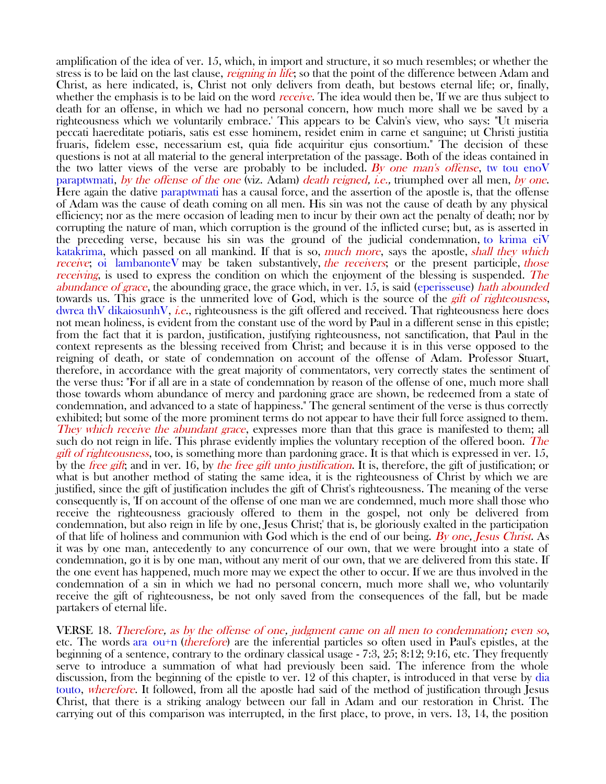amplification of the idea of ver. 15, which, in import and structure, it so much resembles; or whether the stress is to be laid on the last clause, *reigning in life*; so that the point of the difference between Adam and Christ, as here indicated, is, Christ not only delivers from death, but bestows eternal life; or, finally, whether the emphasis is to be laid on the word *receive*. The idea would then be, 'If we are thus subject to death for an offense, in which we had no personal concern, how much more shall we be saved by a righteousness which we voluntarily embrace.' This appears to be Calvin's view, who says: "Ut miseria peccati haereditate potiaris, satis est esse hominem, residet enim in carne et sanguine; ut Christi justitia fruaris, fidelem esse, necessarium est, quia fide acquiritur ejus consortium." The decision of these questions is not at all material to the general interpretation of the passage. Both of the ideas contained in the two latter views of the verse are probably to be included. By one man's offense, tw tou enoV paraptwmati, by the offense of the one (viz. Adam) death reigned, i.e., triumphed over all men, by one. Here again the dative paraptwmati has a causal force, and the assertion of the apostle is, that the offense of Adam was the cause of death coming on all men. His sin was not the cause of death by any physical efficiency; nor as the mere occasion of leading men to incur by their own act the penalty of death; nor by corrupting the nature of man, which corruption is the ground of the inflicted curse; but, as is asserted in the preceding verse, because his sin was the ground of the judicial condemnation, to krima eiV katakrima, which passed on all mankind. If that is so, *much more*, says the apostle, *shall they which* receive; oi lambanonteV may be taken substantively, the receivers; or the present participle, those receiving, is used to express the condition on which the enjoyment of the blessing is suspended. The abundance of grace, the abounding grace, the grace which, in ver. 15, is said (eperisseuse) hath abounded towards us. This grace is the unmerited love of God, which is the source of the *gift of righteousness*, dwrea thV dikaiosunhV, *i.e.*, righteousness is the gift offered and received. That righteousness here does not mean holiness, is evident from the constant use of the word by Paul in a different sense in this epistle; from the fact that it is pardon, justification, justifying righteousness, not sanctification, that Paul in the context represents as the blessing received from Christ; and because it is in this verse opposed to the reigning of death, or state of condemnation on account of the offense of Adam. Professor Stuart, therefore, in accordance with the great majority of commentators, very correctly states the sentiment of the verse thus: "For if all are in a state of condemnation by reason of the offense of one, much more shall those towards whom abundance of mercy and pardoning grace are shown, be redeemed from a state of condemnation, and advanced to a state of happiness." The general sentiment of the verse is thus correctly exhibited; but some of the more prominent terms do not appear to have their full force assigned to them. They which receive the abundant grace, expresses more than that this grace is manifested to them; all such do not reign in life. This phrase evidently implies the voluntary reception of the offered boon. The gift of righteousness, too, is something more than pardoning grace. It is that which is expressed in ver. 15, by the *free gift*; and in ver. 16, by *the free gift unto justification*. It is, therefore, the gift of justification; or what is but another method of stating the same idea, it is the righteousness of Christ by which we are justified, since the gift of justification includes the gift of Christ's righteousness. The meaning of the verse consequently is, 'If on account of the offense of one man we are condemned, much more shall those who receive the righteousness graciously offered to them in the gospel, not only be delivered from condemnation, but also reign in life by one, Jesus Christ;' that is, be gloriously exalted in the participation of that life of holiness and communion with God which is the end of our being. By one, Jesus Christ. As it was by one man, antecedently to any concurrence of our own, that we were brought into a state of condemnation, go it is by one man, without any merit of our own, that we are delivered from this state. If the one event has happened, much more may we expect the other to occur. If we are thus involved in the condemnation of a sin in which we had no personal concern, much more shall we, who voluntarily receive the gift of righteousness, be not only saved from the consequences of the fall, but be made partakers of eternal life.

VERSE 18. Therefore, as by the offense of one, judgment came on all men to condemnation; even so, etc. The words ara ou+n (therefore) are the inferential particles so often used in Paul's epistles, at the beginning of a sentence, contrary to the ordinary classical usage - 7:3, 25; 8:12; 9:16, etc. They frequently serve to introduce a summation of what had previously been said. The inference from the whole discussion, from the beginning of the epistle to ver. 12 of this chapter, is introduced in that verse by dia touto, *wherefore*. It followed, from all the apostle had said of the method of justification through Jesus Christ, that there is a striking analogy between our fall in Adam and our restoration in Christ. The carrying out of this comparison was interrupted, in the first place, to prove, in vers. 13, 14, the position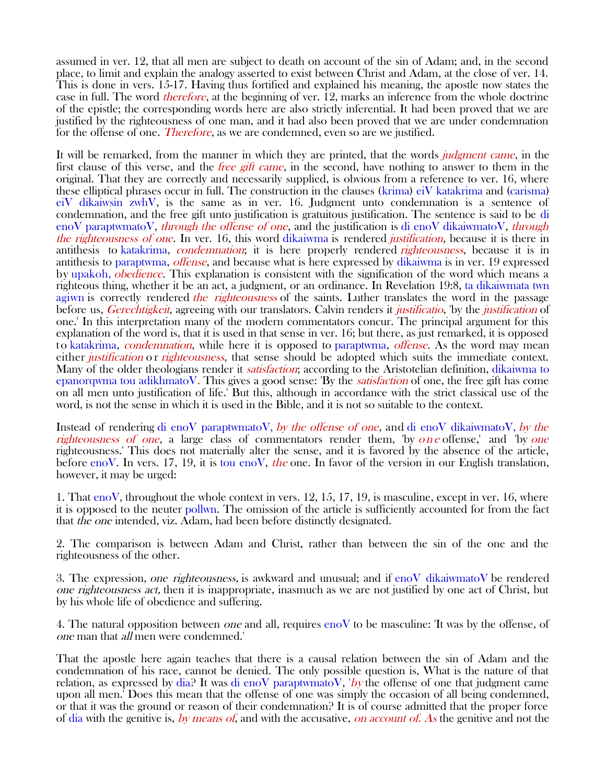assumed in ver. 12, that all men are subject to death on account of the sin of Adam; and, in the second place, to limit and explain the analogy asserted to exist between Christ and Adam, at the close of ver. 14. This is done in vers. 15-17. Having thus fortified and explained his meaning, the apostle now states the case in full. The word *therefore*, at the beginning of ver. 12, marks an inference from the whole doctrine of the epistle; the corresponding words here are also strictly inferential. It had been proved that we are justified by the righteousness of one man, and it had also been proved that we are under condemnation for the offense of one. *Therefore*, as we are condemned, even so are we justified.

It will be remarked, from the manner in which they are printed, that the words *judgment came*, in the first clause of this verse, and the *free gift came*, in the second, have nothing to answer to them in the original. That they are correctly and necessarily supplied, is obvious from a reference to ver. 16, where these elliptical phrases occur in full. The construction in the clauses (krima) eiV katakrima and (carisma) eiV dikaiwsin zwhV, is the same as in ver. 16. Judgment unto condemnation is a sentence of condemnation, and the free gift unto justification is gratuitous justification. The sentence is said to be di enoV paraptwmatoV, *through the offense of one*, and the justification is di enoV dikaiwmatoV, *through* the righteousness of one. In ver. 16, this word dikaiwma is rendered justification, because it is there in antithesis to katakrima, *condemnation*; it is here properly rendered *righteousness*, because it is in antithesis to paraptwma, offense, and because what is here expressed by dikaiwma is in ver. 19 expressed by upakoh, *obedience*. This explanation is consistent with the signification of the word which means a righteous thing, whether it be an act, a judgment, or an ordinance. In Revelation 19:8, ta dikaiwmata twn agiwn is correctly rendered *the righteousness* of the saints. Luther translates the word in the passage before us, Gerechtigkeit, agreeing with our translators. Calvin renders it justificatio, 'by the justification of one.' In this interpretation many of the modern commentators concur. The principal argument for this explanation of the word is, that it is used in that sense in ver. 16; but there, as just remarked, it is opposed to katakrima, *condemnation*, while here it is opposed to paraptwma, *offense*. As the word may mean either *justification* or *righteousness*, that sense should be adopted which suits the immediate context. Many of the older theologians render it *satisfaction*; according to the Aristotelian definition, dikaiwma to epanorqwma tou adikhmatoV. This gives a good sense: 'By the *satisfaction* of one, the free gift has come on all men unto justification of life.' But this, although in accordance with the strict classical use of the word, is not the sense in which it is used in the Bible, and it is not so suitable to the context.

Instead of rendering di enoV paraptwmatoV, by the offense of one, and di enoV dikaiwmatoV, by the righteousness of one, a large class of commentators render them, 'by one offense,' and 'by one righteousness.' This does not materially alter the sense, and it is favored by the absence of the article, before enoV. In vers. 17, 19, it is tou enoV, the one. In favor of the version in our English translation, however, it may be urged:

1. That enoV, throughout the whole context in vers. 12, 15, 17, 19, is masculine, except in ver. 16, where it is opposed to the neuter pollwn. The omission of the article is sufficiently accounted for from the fact that *the one* intended, viz. Adam, had been before distinctly designated.

2. The comparison is between Adam and Christ, rather than between the sin of the one and the righteousness of the other.

3. The expression, one righteousness, is awkward and unusual; and if enoV dikaiwmatoV be rendered one righteousness act, then it is inappropriate, inasmuch as we are not justified by one act of Christ, but by his whole life of obedience and suffering.

4. The natural opposition between *one* and all, requires enoV to be masculine: It was by the offense, of one man that all men were condemned.'

That the apostle here again teaches that there is a causal relation between the sin of Adam and the condemnation of his race, cannot be denied. The only possible question is, What is the nature of that relation, as expressed by dia? It was di enoV paraptwmatoV, 'by the offense of one that judgment came upon all men.' Does this mean that the offense of one was simply the occasion of all being condemned, or that it was the ground or reason of their condemnation? It is of course admitted that the proper force of dia with the genitive is, by means of, and with the accusative, on account of. As the genitive and not the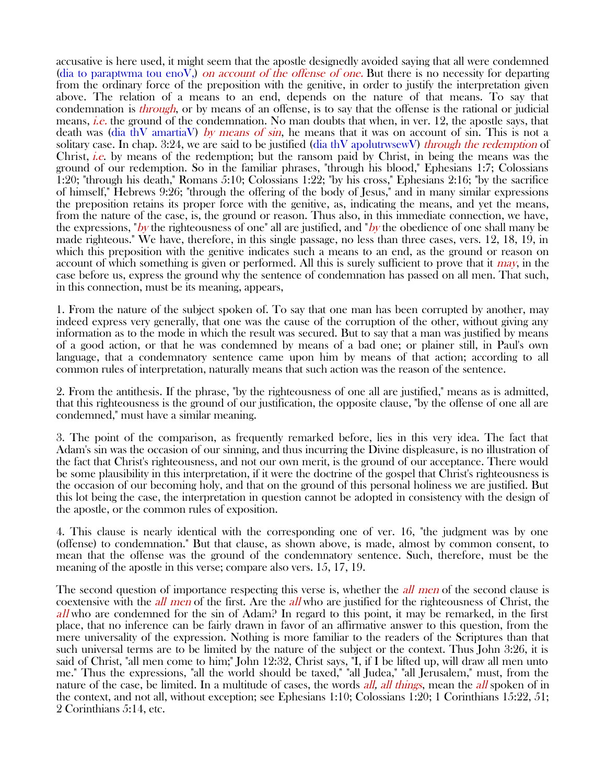accusative is here used, it might seem that the apostle designedly avoided saying that all were condemned (dia to paraptivma tou enoV,) on account of the offense of one. But there is no necessity for departing from the ordinary force of the preposition with the genitive, in order to justify the interpretation given above. The relation of a means to an end, depends on the nature of that means. To say that condemnation is through, or by means of an offense, is to say that the offense is the rational or judicial means, *i.e.* the ground of the condemnation. No man doubts that when, in ver. 12, the apostle says, that death was (dia thV amartiaV) by means of sin, he means that it was on account of sin. This is not a solitary case. In chap. 3:24, we are said to be justified (dia thV apolutrwsewV) *through the redemption* of Christ, *i.e.* by means of the redemption; but the ransom paid by Christ, in being the means was the ground of our redemption. So in the familiar phrases, "through his blood," Ephesians 1:7; Colossians 1:20; "through his death," Romans 5:10; Colossians 1:22; "by his cross," Ephesians 2:16; "by the sacrifice of himself," Hebrews 9:26; "through the offering of the body of Jesus," and in many similar expressions the preposition retains its proper force with the genitive, as, indicating the means, and yet the means, from the nature of the case, is, the ground or reason. Thus also, in this immediate connection, we have, the expressions, "by the righteousness of one" all are justified, and "by the obedience of one shall many be made righteous." We have, therefore, in this single passage, no less than three cases, vers. 12, 18, 19, in which this preposition with the genitive indicates such a means to an end, as the ground or reason on account of which something is given or performed. All this is surely sufficient to prove that it may, in the case before us, express the ground why the sentence of condemnation has passed on all men. That such, in this connection, must be its meaning, appears,

1. From the nature of the subject spoken of. To say that one man has been corrupted by another, may indeed express very generally, that one was the cause of the corruption of the other, without giving any information as to the mode in which the result was secured. But to say that a man was justified by means of a good action, or that he was condemned by means of a bad one; or plainer still, in Paul's own language, that a condemnatory sentence came upon him by means of that action; according to all common rules of interpretation, naturally means that such action was the reason of the sentence.

2. From the antithesis. If the phrase, "by the righteousness of one all are justified," means as is admitted, that this righteousness is the ground of our justification, the opposite clause, "by the offense of one all are condemned," must have a similar meaning.

3. The point of the comparison, as frequently remarked before, lies in this very idea. The fact that Adam's sin was the occasion of our sinning, and thus incurring the Divine displeasure, is no illustration of the fact that Christ's righteousness, and not our own merit, is the ground of our acceptance. There would be some plausibility in this interpretation, if it were the doctrine of the gospel that Christ's righteousness is the occasion of our becoming holy, and that on the ground of this personal holiness we are justified. But this lot being the case, the interpretation in question cannot be adopted in consistency with the design of the apostle, or the common rules of exposition.

4. This clause is nearly identical with the corresponding one of ver. 16, "the judgment was by one (offense) to condemnation." But that clause, as shown above, is made, almost by common consent, to mean that the offense was the ground of the condemnatory sentence. Such, therefore, must be the meaning of the apostle in this verse; compare also vers. 15, 17, 19.

The second question of importance respecting this verse is, whether the *all men* of the second clause is coextensive with the *all men* of the first. Are the *all* who are justified for the righteousness of Christ, the all who are condemned for the sin of Adam? In regard to this point, it may be remarked, in the first place, that no inference can be fairly drawn in favor of an affirmative answer to this question, from the mere universality of the expression. Nothing is more familiar to the readers of the Scriptures than that such universal terms are to be limited by the nature of the subject or the context. Thus John 3:26, it is said of Christ, "all men come to him;" John 12:32, Christ says, "I, if I be lifted up, will draw all men unto me." Thus the expressions, "all the world should be taxed," "all Judea," "all Jerusalem," must, from the nature of the case, be limited. In a multitude of cases, the words *all, all things*, mean the *all* spoken of in the context, and not all, without exception; see Ephesians 1:10; Colossians 1:20; 1 Corinthians 15:22, 51; 2 Corinthians 5:14, etc.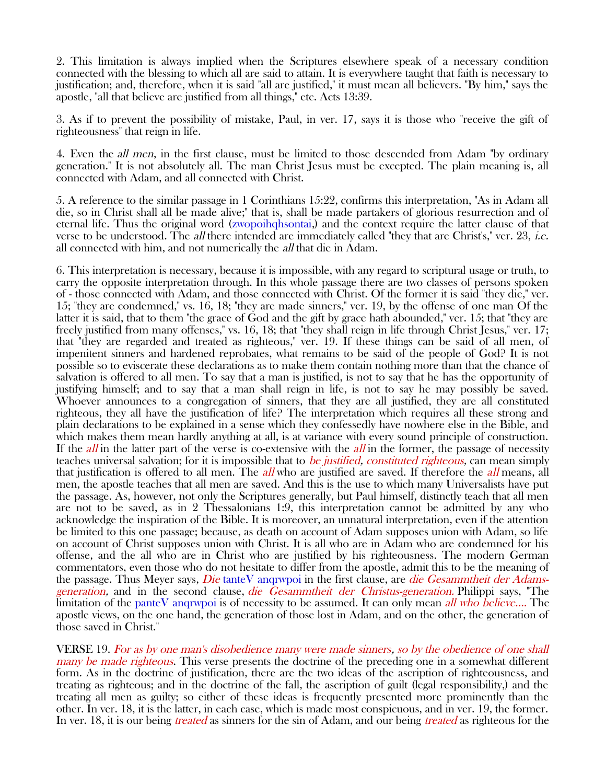2. This limitation is always implied when the Scriptures elsewhere speak of a necessary condition connected with the blessing to which all are said to attain. It is everywhere taught that faith is necessary to justification; and, therefore, when it is said "all are justified," it must mean all believers. "By him," says the apostle, "all that believe are justified from all things," etc. Acts 13:39.

3. As if to prevent the possibility of mistake, Paul, in ver. 17, says it is those who "receive the gift of righteousness" that reign in life.

4. Even the *all men*, in the first clause, must be limited to those descended from Adam "by ordinary generation." It is not absolutely all. The man Christ Jesus must be excepted. The plain meaning is, all connected with Adam, and all connected with Christ.

5. A reference to the similar passage in 1 Corinthians 15:22, confirms this interpretation, "As in Adam all die, so in Christ shall all be made alive;" that is, shall be made partakers of glorious resurrection and of eternal life. Thus the original word (zwopoihqhsontai,) and the context require the latter clause of that verse to be understood. The *all* there intended are immediately called "they that are Christ's," ver. 23, *i.e.* all connected with him, and not numerically the *all* that die in Adam.

6. This interpretation is necessary, because it is impossible, with any regard to scriptural usage or truth, to carry the opposite interpretation through. In this whole passage there are two classes of persons spoken of - those connected with Adam, and those connected with Christ. Of the former it is said "they die," ver. 15; "they are condemned," vs. 16, 18; "they are made sinners," ver. 19, by the offense of one man Of the latter it is said, that to them "the grace of God and the gift by grace hath abounded," ver. 15; that "they are freely justified from many offenses," vs. 16, 18; that "they shall reign in life through Christ Jesus," ver. 17; that "they are regarded and treated as righteous," ver. 19. If these things can be said of all men, of impenitent sinners and hardened reprobates, what remains to be said of the people of God? It is not possible so to eviscerate these declarations as to make them contain nothing more than that the chance of salvation is offered to all men. To say that a man is justified, is not to say that he has the opportunity of justifying himself; and to say that a man shall reign in life, is not to say he may possibly be saved. Whoever announces to a congregation of sinners, that they are all justified, they are all constituted righteous, they all have the justification of life? The interpretation which requires all these strong and plain declarations to be explained in a sense which they confessedly have nowhere else in the Bible, and which makes them mean hardly anything at all, is at variance with every sound principle of construction. If the  $all$  in the latter part of the verse is co-extensive with the  $all$  in the former, the passage of necessity teaches universal salvation; for it is impossible that to be justified, constituted righteous, can mean simply that justification is offered to all men. The *all* who are justified are saved. If therefore the *all* means, all men, the apostle teaches that all men are saved. And this is the use to which many Universalists have put the passage. As, however, not only the Scriptures generally, but Paul himself, distinctly teach that all men are not to be saved, as in 2 Thessalonians 1:9, this interpretation cannot be admitted by any who acknowledge the inspiration of the Bible. It is moreover, an unnatural interpretation, even if the attention be limited to this one passage; because, as death on account of Adam supposes union with Adam, so life on account of Christ supposes union with Christ. It is all who are in Adam who are condemned for his offense, and the all who are in Christ who are justified by his righteousness. The modern German commentators, even those who do not hesitate to differ from the apostle, admit this to be the meaning of the passage. Thus Meyer says, *Die* tanteV angrwpoi in the first clause, are *die Gesammtheit der Adams*generation, and in the second clause, die Gesammtheit der Christus-generation. Philippi says, "The limitation of the panteV angrupoi is of necessity to be assumed. It can only mean *all who believe...*. The apostle views, on the one hand, the generation of those lost in Adam, and on the other, the generation of those saved in Christ."

VERSE 19. For as by one man's disobedience many were made sinners, so by the obedience of one shall many be made righteous. This verse presents the doctrine of the preceding one in a somewhat different form. As in the doctrine of justification, there are the two ideas of the ascription of righteousness, and treating as righteous; and in the doctrine of the fall, the ascription of guilt (legal responsibility,) and the treating all men as guilty; so either of these ideas is frequently presented more prominently than the other. In ver. 18, it is the latter, in each case, which is made most conspicuous, and in ver. 19, the former. In ver. 18, it is our being *treated* as sinners for the sin of Adam, and our being *treated* as righteous for the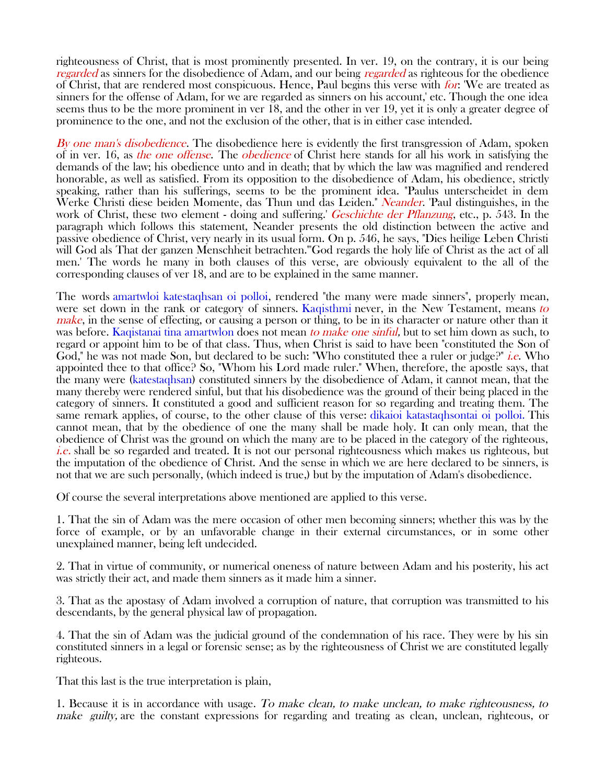righteousness of Christ, that is most prominently presented. In ver. 19, on the contrary, it is our being regarded as sinners for the disobedience of Adam, and our being regarded as righteous for the obedience of Christ, that are rendered most conspicuous. Hence, Paul begins this verse with *for*: 'We are treated as sinners for the offense of Adam, for we are regarded as sinners on his account, etc. Though the one idea seems thus to be the more prominent in ver 18, and the other in ver 19, yet it is only a greater degree of prominence to the one, and not the exclusion of the other, that is in either case intended.

By one man's disobedience. The disobedience here is evidently the first transgression of Adam, spoken of in ver. 16, as the one offense. The obedience of Christ here stands for all his work in satisfying the demands of the law; his obedience unto and in death; that by which the law was magnified and rendered honorable, as well as satisfied. From its opposition to the disobedience of Adam, his obedience, strictly speaking, rather than his sufferings, seems to be the prominent idea. "Paulus unterscheidet in dem Werke Christi diese beiden Momente, das Thun und das Leiden." *Neander*. 'Paul distinguishes, in the work of Christ, these two element - doing and suffering.' *Geschichte der Pflanzung*, etc., p. 543. In the paragraph which follows this statement, Neander presents the old distinction between the active and passive obedience of Christ, very nearly in its usual form. On p. 546, he says, "Dies heilige Leben Christi will God als That der ganzen Menschheit betrachten."'God regards the holy life of Christ as the act of all men.' The words he many in both clauses of this verse, are obviously equivalent to the all of the corresponding clauses of ver 18, and are to be explained in the same manner.

The words amartwloi katestaqhsan oi polloi, rendered "the many were made sinners", properly mean, were set down in the rank or category of sinners. Kagisthmi never, in the New Testament, means to make, in the sense of effecting, or causing a person or thing, to be in its character or nature other than it was before. Kaqistanai tina amartwlon does not mean to make one sinful, but to set him down as such, to regard or appoint him to be of that class. Thus, when Christ is said to have been "constituted the Son of God," he was not made Son, but declared to be such: "Who constituted thee a ruler or judge?" *i.e.* Who appointed thee to that office? So, "Whom his Lord made ruler." When, therefore, the apostle says, that the many were (katestaqhsan) constituted sinners by the disobedience of Adam, it cannot mean, that the many thereby were rendered sinful, but that his disobedience was the ground of their being placed in the category of sinners. It constituted a good and sufficient reason for so regarding and treating them. The same remark applies, of course, to the other clause of this verse: dikaioi katastaqhsontai oi polloi. This cannot mean, that by the obedience of one the many shall be made holy. It can only mean, that the obedience of Christ was the ground on which the many are to be placed in the category of the righteous, i.e. shall be so regarded and treated. It is not our personal righteousness which makes us righteous, but the imputation of the obedience of Christ. And the sense in which we are here declared to be sinners, is not that we are such personally, (which indeed is true,) but by the imputation of Adam's disobedience.

Of course the several interpretations above mentioned are applied to this verse.

1. That the sin of Adam was the mere occasion of other men becoming sinners; whether this was by the force of example, or by an unfavorable change in their external circumstances, or in some other unexplained manner, being left undecided.

2. That in virtue of community, or numerical oneness of nature between Adam and his posterity, his act was strictly their act, and made them sinners as it made him a sinner.

3. That as the apostasy of Adam involved a corruption of nature, that corruption was transmitted to his descendants, by the general physical law of propagation.

4. That the sin of Adam was the judicial ground of the condemnation of his race. They were by his sin constituted sinners in a legal or forensic sense; as by the righteousness of Christ we are constituted legally righteous.

That this last is the true interpretation is plain,

1. Because it is in accordance with usage. To make clean, to make unclean, to make righteousness, to make guilty, are the constant expressions for regarding and treating as clean, unclean, righteous, or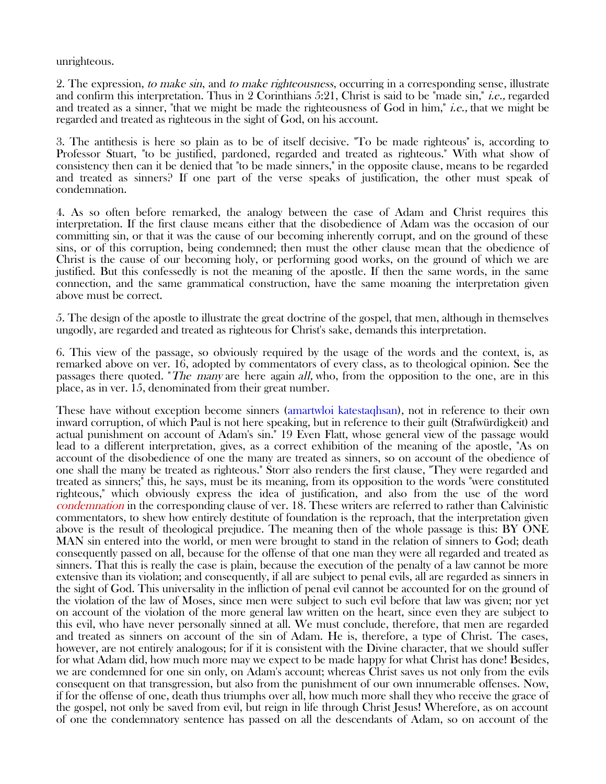unrighteous.

2. The expression, to make sin, and to make righteousness, occurring in a corresponding sense, illustrate and confirm this interpretation. Thus in 2 Corinthians 5:21, Christ is said to be "made sin," i.e., regarded and treated as a sinner, "that we might be made the righteousness of God in him," i.e., that we might be regarded and treated as righteous in the sight of God, on his account.

3. The antithesis is here so plain as to be of itself decisive. "To be made righteous" is, according to Professor Stuart, "to be justified, pardoned, regarded and treated as righteous." With what show of consistency then can it be denied that "to be made sinners," in the opposite clause, means to be regarded and treated as sinners? If one part of the verse speaks of justification, the other must speak of condemnation.

4. As so often before remarked, the analogy between the case of Adam and Christ requires this interpretation. If the first clause means either that the disobedience of Adam was the occasion of our committing sin, or that it was the cause of our becoming inherently corrupt, and on the ground of these sins, or of this corruption, being condemned; then must the other clause mean that the obedience of Christ is the cause of our becoming holy, or performing good works, on the ground of which we are justified. But this confessedly is not the meaning of the apostle. If then the same words, in the same connection, and the same grammatical construction, have the same moaning the interpretation given above must be correct.

5. The design of the apostle to illustrate the great doctrine of the gospel, that men, although in themselves ungodly, are regarded and treated as righteous for Christ's sake, demands this interpretation.

6. This view of the passage, so obviously required by the usage of the words and the context, is, as remarked above on ver. 16, adopted by commentators of every class, as to theological opinion. See the passages there quoted. "The many are here again all, who, from the opposition to the one, are in this place, as in ver. 15, denominated from their great number.

These have without exception become sinners (amartwloi katestaqhsan), not in reference to their own inward corruption, of which Paul is not here speaking, but in reference to their guilt (Strafwürdigkeit) and actual punishment on account of Adam's sin." 19 Even Flatt, whose general view of the passage would lead to a different interpretation, gives, as a correct exhibition of the meaning of the apostle, "As on account of the disobedience of one the many are treated as sinners, so on account of the obedience of one shall the many be treated as righteous." Storr also renders the first clause, "They were regarded and treated as sinners;" this, he says, must be its meaning, from its opposition to the words "were constituted righteous," which obviously express the idea of justification, and also from the use of the word condemnation in the corresponding clause of ver. 18. These writers are referred to rather than Calvinistic commentators, to shew how entirely destitute of foundation is the reproach, that the interpretation given above is the result of theological prejudice. The meaning then of the whole passage is this: BY ONE MAN sin entered into the world, or men were brought to stand in the relation of sinners to God; death consequently passed on all, because for the offense of that one man they were all regarded and treated as sinners. That this is really the case is plain, because the execution of the penalty of a law cannot be more extensive than its violation; and consequently, if all are subject to penal evils, all are regarded as sinners in the sight of God. This universality in the infliction of penal evil cannot be accounted for on the ground of the violation of the law of Moses, since men were subject to such evil before that law was given; nor yet on account of the violation of the more general law written on the heart, since even they are subject to this evil, who have never personally sinned at all. We must conclude, therefore, that men are regarded and treated as sinners on account of the sin of Adam. He is, therefore, a type of Christ. The cases, however, are not entirely analogous; for if it is consistent with the Divine character, that we should suffer for what Adam did, how much more may we expect to be made happy for what Christ has done! Besides, we are condemned for one sin only, on Adam's account; whereas Christ saves us not only from the evils consequent on that transgression, but also from the punishment of our own innumerable offenses. Now, if for the offense of one, death thus triumphs over all, how much more shall they who receive the grace of the gospel, not only be saved from evil, but reign in life through Christ Jesus! Wherefore, as on account of one the condemnatory sentence has passed on all the descendants of Adam, so on account of the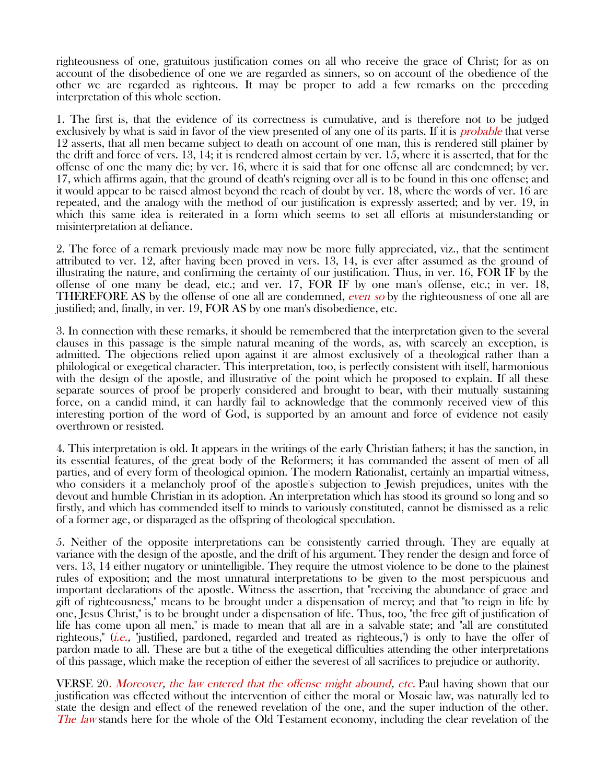righteousness of one, gratuitous justification comes on all who receive the grace of Christ; for as on account of the disobedience of one we are regarded as sinners, so on account of the obedience of the other we are regarded as righteous. It may be proper to add a few remarks on the preceding interpretation of this whole section.

1. The first is, that the evidence of its correctness is cumulative, and is therefore not to be judged exclusively by what is said in favor of the view presented of any one of its parts. If it is *probable* that verse 12 asserts, that all men became subject to death on account of one man, this is rendered still plainer by the drift and force of vers. 13, 14; it is rendered almost certain by ver. 15, where it is asserted, that for the offense of one the many die; by ver. 16, where it is said that for one offense all are condemned; by ver. 17, which affirms again, that the ground of death's reigning over all is to be found in this one offense; and it would appear to be raised almost beyond the reach of doubt by ver. 18, where the words of ver. 16 are repeated, and the analogy with the method of our justification is expressly asserted; and by ver. 19, in which this same idea is reiterated in a form which seems to set all efforts at misunderstanding or misinterpretation at defiance.

2. The force of a remark previously made may now be more fully appreciated, viz., that the sentiment attributed to ver. 12, after having been proved in vers. 13, 14, is ever after assumed as the ground of illustrating the nature, and confirming the certainty of our justification. Thus, in ver. 16, FOR IF by the offense of one many be dead, etc.; and ver. 17, FOR IF by one man's offense, etc.; in ver. 18, THEREFORE AS by the offense of one all are condemned, even so by the righteousness of one all are justified; and, finally, in ver. 19, FOR AS by one man's disobedience, etc.

3. In connection with these remarks, it should be remembered that the interpretation given to the several clauses in this passage is the simple natural meaning of the words, as, with scarcely an exception, is admitted. The objections relied upon against it are almost exclusively of a theological rather than a philological or exegetical character. This interpretation, too, is perfectly consistent with itself, harmonious with the design of the apostle, and illustrative of the point which he proposed to explain. If all these separate sources of proof be properly considered and brought to bear, with their mutually sustaining force, on a candid mind, it can hardly fail to acknowledge that the commonly received view of this interesting portion of the word of God, is supported by an amount and force of evidence not easily overthrown or resisted.

4. This interpretation is old. It appears in the writings of the early Christian fathers; it has the sanction, in its essential features, of the great body of the Reformers; it has commanded the assent of men of all parties, and of every form of theological opinion. The modern Rationalist, certainly an impartial witness, who considers it a melancholy proof of the apostle's subjection to Jewish prejudices, unites with the devout and humble Christian in its adoption. An interpretation which has stood its ground so long and so firstly, and which has commended itself to minds to variously constituted, cannot be dismissed as a relic of a former age, or disparaged as the offspring of theological speculation.

5. Neither of the opposite interpretations can be consistently carried through. They are equally at variance with the design of the apostle, and the drift of his argument. They render the design and force of vers. 13, 14 either nugatory or unintelligible. They require the utmost violence to be done to the plainest rules of exposition; and the most unnatural interpretations to be given to the most perspicuous and important declarations of the apostle. Witness the assertion, that "receiving the abundance of grace and gift of righteousness," means to be brought under a dispensation of mercy; and that "to reign in life by one, Jesus Christ," is to be brought under a dispensation of life. Thus, too, "the free gift of justification of life has come upon all men," is made to mean that all are in a salvable state; and "all are constituted righteous," (i.e., "justified, pardoned, regarded and treated as righteous,") is only to have the offer of pardon made to all. These are but a tithe of the exegetical difficulties attending the other interpretations of this passage, which make the reception of either the severest of all sacrifices to prejudice or authority.

VERSE 20. Moreover, the law entered that the offense might abound, etc. Paul having shown that our justification was effected without the intervention of either the moral or Mosaic law, was naturally led to state the design and effect of the renewed revelation of the one, and the super induction of the other. The law stands here for the whole of the Old Testament economy, including the clear revelation of the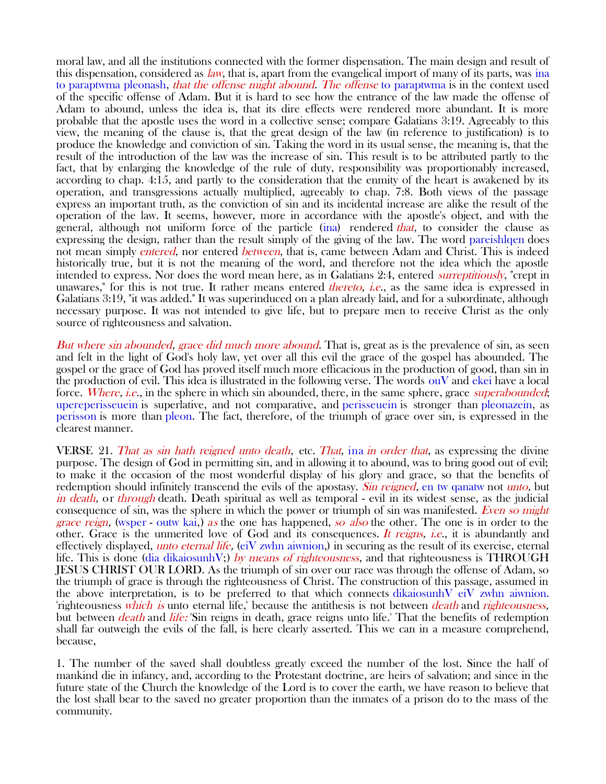moral law, and all the institutions connected with the former dispensation. The main design and result of this dispensation, considered as *law*, that is, apart from the evangelical import of many of its parts, was ina to paraptwma pleonash, *that the offense might abound. The offense* to paraptwma is in the context used of the specific offense of Adam. But it is hard to see how the entrance of the law made the offense of Adam to abound, unless the idea is, that its dire effects were rendered more abundant. It is more probable that the apostle uses the word in a collective sense; compare Galatians 3:19. Agreeably to this view, the meaning of the clause is, that the great design of the law (in reference to justification) is to produce the knowledge and conviction of sin. Taking the word in its usual sense, the meaning is, that the result of the introduction of the law was the increase of sin. This result is to be attributed partly to the fact, that by enlarging the knowledge of the rule of duty, responsibility was proportionably increased, according to chap. 4:15, and partly to the consideration that the enmity of the heart is awakened by its operation, and transgressions actually multiplied, agreeably to chap. 7:8. Both views of the passage express an important truth, as the conviction of sin and its incidental increase are alike the result of the operation of the law. It seems, however, more in accordance with the apostle's object, and with the general, although not uniform force of the particle (ina) rendered *that*, to consider the clause as expressing the design, rather than the result simply of the giving of the law. The word pareishlqen does not mean simply entered, nor entered between, that is, came between Adam and Christ. This is indeed historically true, but it is not the meaning of the word, and therefore not the idea which the apostle intended to express. Nor does the word mean here, as in Galatians 2:4, entered *surreptitiously*, "crept in unawares," for this is not true. It rather means entered *thereto, i.e.*, as the same idea is expressed in Galatians 3:19, "it was added." It was superinduced on a plan already laid, and for a subordinate, although necessary purpose. It was not intended to give life, but to prepare men to receive Christ as the only source of righteousness and salvation.

But where sin abounded, grace did much more abound. That is, great as is the prevalence of sin, as seen and felt in the light of God's holy law, yet over all this evil the grace of the gospel has abounded. The gospel or the grace of God has proved itself much more efficacious in the production of good, than sin in the production of evil. This idea is illustrated in the following verse. The words ouV and ekei have a local force. Where, i.e., in the sphere in which sin abounded, there, in the same sphere, grace superabounded; upereperisseuein is superlative, and not comparative, and perisseuein is stronger than pleonazein, as perisson is more than pleon. The fact, therefore, of the triumph of grace over sin, is expressed in the clearest manner.

VERSE 21. That as sin hath reigned unto death, etc. That, ina in order that, as expressing the divine purpose. The design of God in permitting sin, and in allowing it to abound, was to bring good out of evil; to make it the occasion of the most wonderful display of his glory and grace, so that the benefits of redemption should infinitely transcend the evils of the apostasy. Sin reigned, en tw qanatw not *unto*, but in death, or through death. Death spiritual as well as temporal - evil in its widest sense, as the judicial consequence of sin, was the sphere in which the power or triumph of sin was manifested. Even so might grace reign, (wsper - outw kai,) as the one has happened, so also the other. The one is in order to the other. Grace is the unmerited love of God and its consequences. It reigns, i.e., it is abundantly and effectively displayed, unto eternal life, (eiV zwhn aiwnion,) in securing as the result of its exercise, eternal life. This is done (dia dikaiosunhV;) by means of righteousness, and that righteousness is THROUGH JESUS CHRIST OUR LORD. As the triumph of sin over our race was through the offense of Adam, so the triumph of grace is through the righteousness of Christ. The construction of this passage, assumed in the above interpretation, is to be preferred to that which connects dikaiosunhV eiV zwhn aiwnion. 'righteousness which is unto eternal life,' because the antithesis is not between death and righteousness, but between *death* and *life:* 'Sin reigns in death, grace reigns unto life.' That the benefits of redemption shall far outweigh the evils of the fall, is here clearly asserted. This we can in a measure comprehend, because,

1. The number of the saved shall doubtless greatly exceed the number of the lost. Since the half of mankind die in infancy, and, according to the Protestant doctrine, are heirs of salvation; and since in the future state of the Church the knowledge of the Lord is to cover the earth, we have reason to believe that the lost shall bear to the saved no greater proportion than the inmates of a prison do to the mass of the community.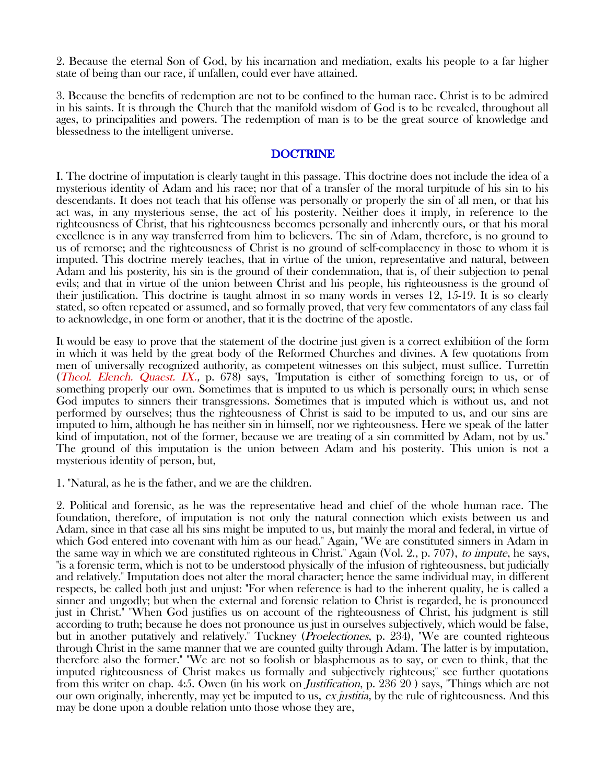2. Because the eternal Son of God, by his incarnation and mediation, exalts his people to a far higher state of being than our race, if unfallen, could ever have attained.

3. Because the benefits of redemption are not to be confined to the human race. Christ is to be admired in his saints. It is through the Church that the manifold wisdom of God is to be revealed, throughout all ages, to principalities and powers. The redemption of man is to be the great source of knowledge and blessedness to the intelligent universe.

# DOCTRINE

I. The doctrine of imputation is clearly taught in this passage. This doctrine does not include the idea of a mysterious identity of Adam and his race; nor that of a transfer of the moral turpitude of his sin to his descendants. It does not teach that his offense was personally or properly the sin of all men, or that his act was, in any mysterious sense, the act of his posterity. Neither does it imply, in reference to the righteousness of Christ, that his righteousness becomes personally and inherently ours, or that his moral excellence is in any way transferred from him to believers. The sin of Adam, therefore, is no ground to us of remorse; and the righteousness of Christ is no ground of self-complacency in those to whom it is imputed. This doctrine merely teaches, that in virtue of the union, representative and natural, between Adam and his posterity, his sin is the ground of their condemnation, that is, of their subjection to penal evils; and that in virtue of the union between Christ and his people, his righteousness is the ground of their justification. This doctrine is taught almost in so many words in verses 12, 15-19. It is so clearly stated, so often repeated or assumed, and so formally proved, that very few commentators of any class fail to acknowledge, in one form or another, that it is the doctrine of the apostle.

It would be easy to prove that the statement of the doctrine just given is a correct exhibition of the form in which it was held by the great body of the Reformed Churches and divines. A few quotations from men of universally recognized authority, as competent witnesses on this subject, must suffice. Turrettin (Theol. Elench. Quaest. IX., p. 678) says, "Imputation is either of something foreign to us, or of something properly our own. Sometimes that is imputed to us which is personally ours; in which sense God imputes to sinners their transgressions. Sometimes that is imputed which is without us, and not performed by ourselves; thus the righteousness of Christ is said to be imputed to us, and our sins are imputed to him, although he has neither sin in himself, nor we righteousness. Here we speak of the latter kind of imputation, not of the former, because we are treating of a sin committed by Adam, not by us." The ground of this imputation is the union between Adam and his posterity. This union is not a mysterious identity of person, but,

1. "Natural, as he is the father, and we are the children.

2. Political and forensic, as he was the representative head and chief of the whole human race. The foundation, therefore, of imputation is not only the natural connection which exists between us and Adam, since in that case all his sins might be imputed to us, but mainly the moral and federal, in virtue of which God entered into covenant with him as our head." Again, "We are constituted sinners in Adam in the same way in which we are constituted righteous in Christ." Again (Vol. 2., p. 707), to impute, he says, "is a forensic term, which is not to be understood physically of the infusion of righteousness, but judicially and relatively." Imputation does not alter the moral character; hence the same individual may, in different respects, be called both just and unjust: "For when reference is had to the inherent quality, he is called a sinner and ungodly; but when the external and forensic relation to Christ is regarded, he is pronounced just in Christ." "When God justifies us on account of the righteousness of Christ, his judgment is still according to truth; because he does not pronounce us just in ourselves subjectively, which would be false, but in another putatively and relatively." Tuckney (Proelectiones, p. 234), "We are counted righteous through Christ in the same manner that we are counted guilty through Adam. The latter is by imputation, therefore also the former." "We are not so foolish or blasphemous as to say, or even to think, that the imputed righteousness of Christ makes us formally and subjectively righteous;" see further quotations from this writer on chap. 4:5. Owen (in his work on Justification, p. 236 20 ) says, "Things which are not our own originally, inherently, may yet be imputed to us, ex justitia, by the rule of righteousness. And this may be done upon a double relation unto those whose they are,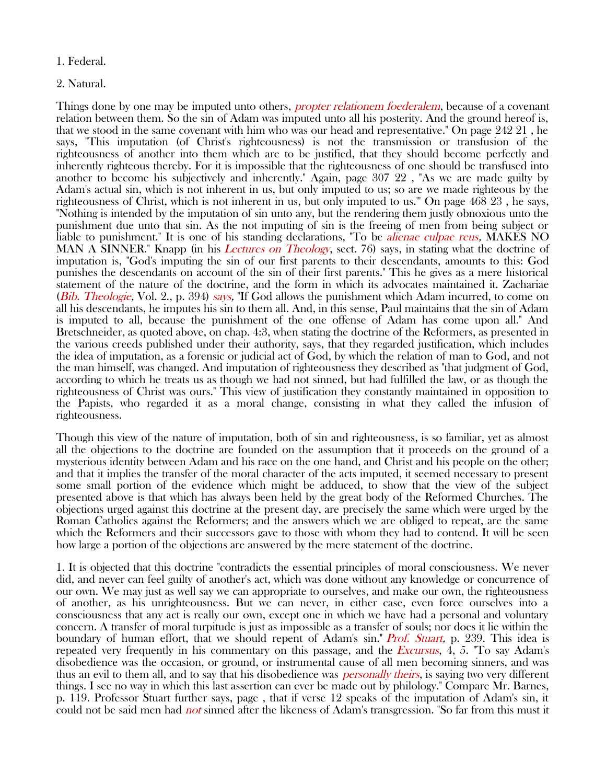## 1. Federal.

2. Natural.

Things done by one may be imputed unto others, *propter relationem foederalem*, because of a covenant relation between them. So the sin of Adam was imputed unto all his posterity. And the ground hereof is, that we stood in the same covenant with him who was our head and representative." On page 242 21 , he says, "This imputation (of Christ's righteousness) is not the transmission or transfusion of the righteousness of another into them which are to be justified, that they should become perfectly and inherently righteous thereby. For it is impossible that the righteousness of one should be transfused into another to become his subjectively and inherently." Again, page 307 22 , "As we are made guilty by Adam's actual sin, which is not inherent in us, but only imputed to us; so are we made righteous by the righteousness of Christ, which is not inherent in us, but only imputed to us."' On page 468 23 , he says, "Nothing is intended by the imputation of sin unto any, but the rendering them justly obnoxious unto the punishment due unto that sin. As the not imputing of sin is the freeing of men from being subject or liable to punishment." It is one of his standing declarations, "To be *alienae culpae reus*, MAKES NO MAN A SINNER." Knapp (in his *Lectures on Theology*, sect. 76) says, in stating what the doctrine of imputation is, "God's imputing the sin of our first parents to their descendants, amounts to this: God punishes the descendants on account of the sin of their first parents." This he gives as a mere historical statement of the nature of the doctrine, and the form in which its advocates maintained it. Zachariae (*Bib. Theologie, Vol. 2., p. 394) says*, "If God allows the punishment which Adam incurred, to come on all his descendants, he imputes his sin to them all. And, in this sense, Paul maintains that the sin of Adam is imputed to all, because the punishment of the one offense of Adam has come upon all." And Bretschneider, as quoted above, on chap. 4:3, when stating the doctrine of the Reformers, as presented in the various creeds published under their authority, says, that they regarded justification, which includes the idea of imputation, as a forensic or judicial act of God, by which the relation of man to God, and not the man himself, was changed. And imputation of righteousness they described as "that judgment of God, according to which he treats us as though we had not sinned, but had fulfilled the law, or as though the righteousness of Christ was ours." This view of justification they constantly maintained in opposition to the Papists, who regarded it as a moral change, consisting in what they called the infusion of righteousness.

Though this view of the nature of imputation, both of sin and righteousness, is so familiar, yet as almost all the objections to the doctrine are founded on the assumption that it proceeds on the ground of a mysterious identity between Adam and his race on the one hand, and Christ and his people on the other; and that it implies the transfer of the moral character of the acts imputed, it seemed necessary to present some small portion of the evidence which might be adduced, to show that the view of the subject presented above is that which has always been held by the great body of the Reformed Churches. The objections urged against this doctrine at the present day, are precisely the same which were urged by the Roman Catholics against the Reformers; and the answers which we are obliged to repeat, are the same which the Reformers and their successors gave to those with whom they had to contend. It will be seen how large a portion of the objections are answered by the mere statement of the doctrine.

1. It is objected that this doctrine "contradicts the essential principles of moral consciousness. We never did, and never can feel guilty of another's act, which was done without any knowledge or concurrence of our own. We may just as well say we can appropriate to ourselves, and make our own, the righteousness of another, as his unrighteousness. But we can never, in either case, even force ourselves into a consciousness that any act is really our own, except one in which we have had a personal and voluntary concern. A transfer of moral turpitude is just as impossible as a transfer of souls; nor does it lie within the boundary of human effort, that we should repent of Adam's sin." *Prof. Stuart*, p. 239. This idea is repeated very frequently in his commentary on this passage, and the *Excursus*, 4, 5. "To say Adam's disobedience was the occasion, or ground, or instrumental cause of all men becoming sinners, and was thus an evil to them all, and to say that his disobedience was *personally theirs*, is saying two very different things. I see no way in which this last assertion can ever be made out by philology." Compare Mr. Barnes, p. 119. Professor Stuart further says, page , that if verse 12 speaks of the imputation of Adam's sin, it could not be said men had *not* sinned after the likeness of Adam's transgression. "So far from this must it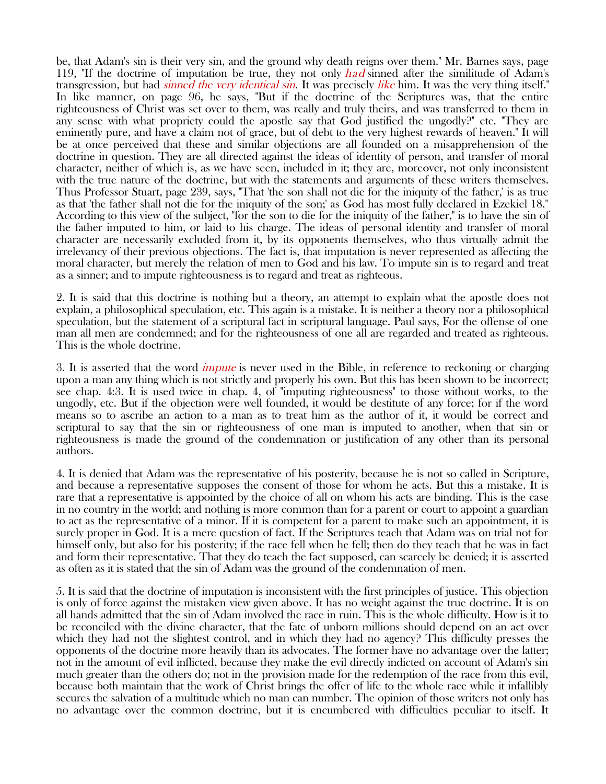be, that Adam's sin is their very sin, and the ground why death reigns over them." Mr. Barnes says, page 119, "If the doctrine of imputation be true, they not only had sinned after the similitude of Adam's transgression, but had *sinned the very identical sin*. It was precisely *like* him. It was the very thing itself." In like manner, on page 96, he says, "But if the doctrine of the Scriptures was, that the entire righteousness of Christ was set over to them, was really and truly theirs, and was transferred to them in any sense with what propriety could the apostle say that God justified the ungodly?" etc. "They are eminently pure, and have a claim not of grace, but of debt to the very highest rewards of heaven." It will be at once perceived that these and similar objections are all founded on a misapprehension of the doctrine in question. They are all directed against the ideas of identity of person, and transfer of moral character, neither of which is, as we have seen, included in it; they are, moreover, not only inconsistent with the true nature of the doctrine, but with the statements and arguments of these writers themselves. Thus Professor Stuart, page 239, says, "That 'the son shall not die for the iniquity of the father,' is as true as that 'the father shall not die for the iniquity of the son;' as God has most fully declared in Ezekiel 18." According to this view of the subject, "for the son to die for the iniquity of the father," is to have the sin of the father imputed to him, or laid to his charge. The ideas of personal identity and transfer of moral character are necessarily excluded from it, by its opponents themselves, who thus virtually admit the irrelevancy of their previous objections. The fact is, that imputation is never represented as affecting the moral character, but merely the relation of men to God and his law. To impute sin is to regard and treat as a sinner; and to impute righteousness is to regard and treat as righteous.

2. It is said that this doctrine is nothing but a theory, an attempt to explain what the apostle does not explain, a philosophical speculation, etc. This again is a mistake. It is neither a theory nor a philosophical speculation, but the statement of a scriptural fact in scriptural language. Paul says, For the offense of one man all men are condemned; and for the righteousness of one all are regarded and treated as righteous. This is the whole doctrine.

3. It is asserted that the word *impute* is never used in the Bible, in reference to reckoning or charging upon a man any thing which is not strictly and properly his own. But this has been shown to be incorrect; see chap. 4:3. It is used twice in chap. 4, of "imputing righteousness" to those without works, to the ungodly, etc. But if the objection were well founded, it would be destitute of any force; for if the word means so to ascribe an action to a man as to treat him as the author of it, it would be correct and scriptural to say that the sin or righteousness of one man is imputed to another, when that sin or righteousness is made the ground of the condemnation or justification of any other than its personal authors.

4. It is denied that Adam was the representative of his posterity, because he is not so called in Scripture, and because a representative supposes the consent of those for whom he acts. But this a mistake. It is rare that a representative is appointed by the choice of all on whom his acts are binding. This is the case in no country in the world; and nothing is more common than for a parent or court to appoint a guardian to act as the representative of a minor. If it is competent for a parent to make such an appointment, it is surely proper in God. It is a mere question of fact. If the Scriptures teach that Adam was on trial not for himself only, but also for his posterity; if the race fell when he fell; then do they teach that he was in fact and form their representative. That they do teach the fact supposed, can scarcely be denied; it is asserted as often as it is stated that the sin of Adam was the ground of the condemnation of men.

5. It is said that the doctrine of imputation is inconsistent with the first principles of justice. This objection is only of force against the mistaken view given above. It has no weight against the true doctrine. It is on all hands admitted that the sin of Adam involved the race in ruin. This is the whole difficulty. How is it to be reconciled with the divine character, that the fate of unborn millions should depend on an act over which they had not the slightest control, and in which they had no agency? This difficulty presses the opponents of the doctrine more heavily than its advocates. The former have no advantage over the latter; not in the amount of evil inflicted, because they make the evil directly indicted on account of Adam's sin much greater than the others do; not in the provision made for the redemption of the race from this evil, because both maintain that the work of Christ brings the offer of life to the whole race while it infallibly secures the salvation of a multitude which no man can number. The opinion of those writers not only has no advantage over the common doctrine, but it is encumbered with difficulties peculiar to itself. It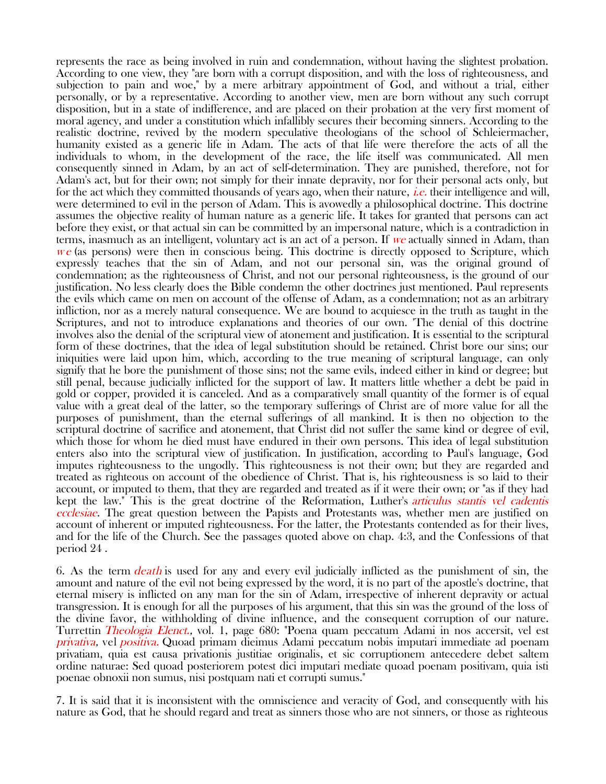represents the race as being involved in ruin and condemnation, without having the slightest probation. According to one view, they "are born with a corrupt disposition, and with the loss of righteousness, and subjection to pain and woe," by a mere arbitrary appointment of God, and without a trial, either personally, or by a representative. According to another view, men are born without any such corrupt disposition, but in a state of indifference, and are placed on their probation at the very first moment of moral agency, and under a constitution which infallibly secures their becoming sinners. According to the realistic doctrine, revived by the modern speculative theologians of the school of Schleiermacher, humanity existed as a generic life in Adam. The acts of that life were therefore the acts of all the individuals to whom, in the development of the race, the life itself was communicated. All men consequently sinned in Adam, by an act of self-determination. They are punished, therefore, not for Adam's act, but for their own; not simply for their innate depravity, nor for their personal acts only, but for the act which they committed thousands of years ago, when their nature, *i.e.* their intelligence and will, were determined to evil in the person of Adam. This is avowedly a philosophical doctrine. This doctrine assumes the objective reality of human nature as a generic life. It takes for granted that persons can act before they exist, or that actual sin can be committed by an impersonal nature, which is a contradiction in terms, inasmuch as an intelligent, voluntary act is an act of a person. If we actually sinned in Adam, than  $we$  (as persons) were then in conscious being. This doctrine is directly opposed to Scripture, which expressly teaches that the sin of Adam, and not our personal sin, was the original ground of condemnation; as the righteousness of Christ, and not our personal righteousness, is the ground of our justification. No less clearly does the Bible condemn the other doctrines just mentioned. Paul represents the evils which came on men on account of the offense of Adam, as a condemnation; not as an arbitrary infliction, nor as a merely natural consequence. We are bound to acquiesce in the truth as taught in the Scriptures, and not to introduce explanations and theories of our own. 'The denial of this doctrine involves also the denial of the scriptural view of atonement and justification. It is essential to the scriptural form of these doctrines, that the idea of legal substitution should be retained. Christ bore our sins; our iniquities were laid upon him, which, according to the true meaning of scriptural language, can only signify that he bore the punishment of those sins; not the same evils, indeed either in kind or degree; but still penal, because judicially inflicted for the support of law. It matters little whether a debt be paid in gold or copper, provided it is canceled. And as a comparatively small quantity of the former is of equal value with a great deal of the latter, so the temporary sufferings of Christ are of more value for all the purposes of punishment, than the eternal sufferings of all mankind. It is then no objection to the scriptural doctrine of sacrifice and atonement, that Christ did not suffer the same kind or degree of evil, which those for whom he died must have endured in their own persons. This idea of legal substitution enters also into the scriptural view of justification. In justification, according to Paul's language, God imputes righteousness to the ungodly. This righteousness is not their own; but they are regarded and treated as righteous on account of the obedience of Christ. That is, his righteousness is so laid to their account, or imputed to them, that they are regarded and treated as if it were their own; or "as if they had kept the law." This is the great doctrine of the Reformation, Luther's *articulus stantis vel cadentis* ecclesiae. The great question between the Papists and Protestants was, whether men are justified on account of inherent or imputed righteousness. For the latter, the Protestants contended as for their lives, and for the life of the Church. See the passages quoted above on chap. 4:3, and the Confessions of that period 24 .

6. As the term  $death$  is used for any and every evil judicially inflicted as the punishment of sin, the amount and nature of the evil not being expressed by the word, it is no part of the apostle's doctrine, that eternal misery is inflicted on any man for the sin of Adam, irrespective of inherent depravity or actual transgression. It is enough for all the purposes of his argument, that this sin was the ground of the loss of the divine favor, the withholding of divine influence, and the consequent corruption of our nature. Turrettin Theologia Elenct., vol. 1, page 680: "Poena quam peccatum Adami in nos accersit, vel est privativa, vel positiva. Quoad primam dieimus Adami peccatum nobis imputari immediate ad poenam privatiam, quia est causa privationis justitiae originalis, et sic corruptionem antecedere debet saltem ordine naturae: Sed quoad posteriorem potest dici imputari mediate quoad poenam positivam, quia isti poenae obnoxii non sumus, nisi postquam nati et corrupti sumus."

7. It is said that it is inconsistent with the omniscience and veracity of God, and consequently with his nature as God, that he should regard and treat as sinners those who are not sinners, or those as righteous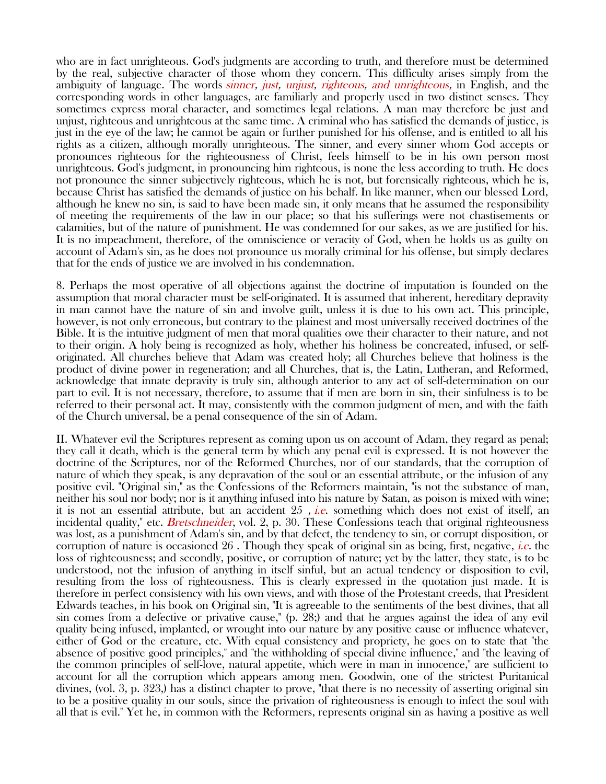who are in fact unrighteous. God's judgments are according to truth, and therefore must be determined by the real, subjective character of those whom they concern. This difficulty arises simply from the ambiguity of language. The words *sinner, just, unjust, righteous, and unrighteous*, in English, and the corresponding words in other languages, are familiarly and properly used in two distinct senses. They sometimes express moral character, and sometimes legal relations. A man may therefore be just and unjust, righteous and unrighteous at the same time. A criminal who has satisfied the demands of justice, is just in the eye of the law; he cannot be again or further punished for his offense, and is entitled to all his rights as a citizen, although morally unrighteous. The sinner, and every sinner whom God accepts or pronounces righteous for the righteousness of Christ, feels himself to be in his own person most unrighteous. God's judgment, in pronouncing him righteous, is none the less according to truth. He does not pronounce the sinner subjectively righteous, which he is not, but forensically righteous, which he is, because Christ has satisfied the demands of justice on his behalf. In like manner, when our blessed Lord, although he knew no sin, is said to have been made sin, it only means that he assumed the responsibility of meeting the requirements of the law in our place; so that his sufferings were not chastisements or calamities, but of the nature of punishment. He was condemned for our sakes, as we are justified for his. It is no impeachment, therefore, of the omniscience or veracity of God, when he holds us as guilty on account of Adam's sin, as he does not pronounce us morally criminal for his offense, but simply declares that for the ends of justice we are involved in his condemnation.

8. Perhaps the most operative of all objections against the doctrine of imputation is founded on the assumption that moral character must be self-originated. It is assumed that inherent, hereditary depravity in man cannot have the nature of sin and involve guilt, unless it is due to his own act. This principle, however, is not only erroneous, but contrary to the plainest and most universally received doctrines of the Bible. It is the intuitive judgment of men that moral qualities owe their character to their nature, and not to their origin. A holy being is recognized as holy, whether his holiness be concreated, infused, or selforiginated. All churches believe that Adam was created holy; all Churches believe that holiness is the product of divine power in regeneration; and all Churches, that is, the Latin, Lutheran, and Reformed, acknowledge that innate depravity is truly sin, although anterior to any act of self-determination on our part to evil. It is not necessary, therefore, to assume that if men are born in sin, their sinfulness is to be referred to their personal act. It may, consistently with the common judgment of men, and with the faith of the Church universal, be a penal consequence of the sin of Adam.

II. Whatever evil the Scriptures represent as coming upon us on account of Adam, they regard as penal; they call it death, which is the general term by which any penal evil is expressed. It is not however the doctrine of the Scriptures, nor of the Reformed Churches, nor of our standards, that the corruption of nature of which they speak, is any depravation of the soul or an essential attribute, or the infusion of any positive evil. "Original sin," as the Confessions of the Reformers maintain, "is not the substance of man, neither his soul nor body; nor is it anything infused into his nature by Satan, as poison is mixed with wine; it is not an essential attribute, but an accident  $25$ , *i.e.* something which does not exist of itself, an incidental quality," etc. Bretschneider, vol. 2, p. 30. These Confessions teach that original righteousness was lost, as a punishment of Adam's sin, and by that defect, the tendency to sin, or corrupt disposition, or corruption of nature is occasioned  $26$ . Though they speak of original sin as being, first, negative, *i.e.* the loss of righteousness; and secondly, positive, or corruption of nature; yet by the latter, they state, is to be understood, not the infusion of anything in itself sinful, but an actual tendency or disposition to evil, resulting from the loss of righteousness. This is clearly expressed in the quotation just made. It is therefore in perfect consistency with his own views, and with those of the Protestant creeds, that President Edwards teaches, in his book on Original sin, "It is agreeable to the sentiments of the best divines, that all sin comes from a defective or privative cause," (p. 28;) and that he argues against the idea of any evil quality being infused, implanted, or wrought into our nature by any positive cause or influence whatever, either of God or the creature, etc. With equal consistency and propriety, he goes on to state that "the absence of positive good principles," and "the withholding of special divine influence," and "the leaving of the common principles of self-love, natural appetite, which were in man in innocence," are sufficient to account for all the corruption which appears among men. Goodwin, one of the strictest Puritanical divines, (vol. 3, p. 323,) has a distinct chapter to prove, "that there is no necessity of asserting original sin to be a positive quality in our souls, since the privation of righteousness is enough to infect the soul with all that is evil." Yet he, in common with the Reformers, represents original sin as having a positive as well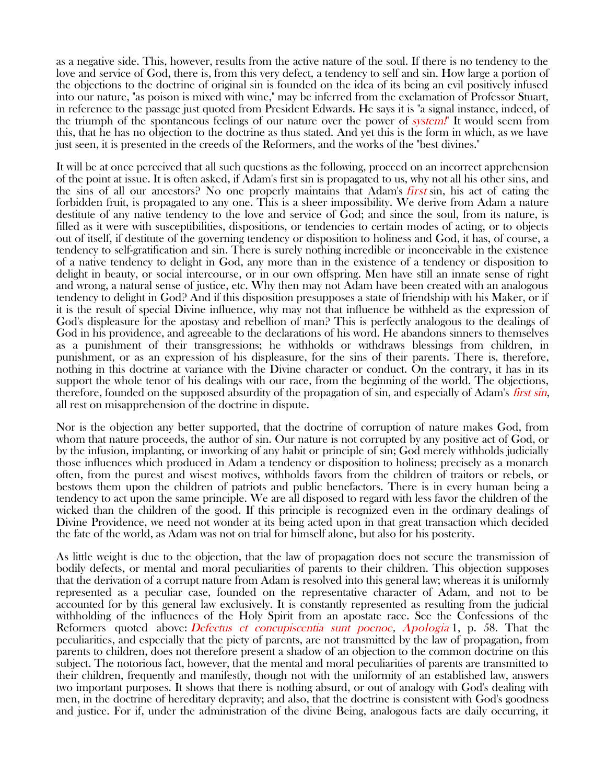as a negative side. This, however, results from the active nature of the soul. If there is no tendency to the love and service of God, there is, from this very defect, a tendency to self and sin. How large a portion of the objections to the doctrine of original sin is founded on the idea of its being an evil positively infused into our nature, "as poison is mixed with wine," may be inferred from the exclamation of Professor Stuart, in reference to the passage just quoted from President Edwards. He says it is "a signal instance, indeed, of the triumph of the spontaneous feelings of our nature over the power of *system!* It would seem from this, that he has no objection to the doctrine as thus stated. And yet this is the form in which, as we have just seen, it is presented in the creeds of the Reformers, and the works of the "best divines."

It will be at once perceived that all such questions as the following, proceed on an incorrect apprehension of the point at issue. It is often asked, if Adam's first sin is propagated to us, why not all his other sins, and the sins of all our ancestors? No one properly maintains that Adam's first sin, his act of eating the forbidden fruit, is propagated to any one. This is a sheer impossibility. We derive from Adam a nature destitute of any native tendency to the love and service of God; and since the soul, from its nature, is filled as it were with susceptibilities, dispositions, or tendencies to certain modes of acting, or to objects out of itself, if destitute of the governing tendency or disposition to holiness and God, it has, of course, a tendency to self-gratification and sin. There is surely nothing incredible or inconceivable in the existence of a native tendency to delight in God, any more than in the existence of a tendency or disposition to delight in beauty, or social intercourse, or in our own offspring. Men have still an innate sense of right and wrong, a natural sense of justice, etc. Why then may not Adam have been created with an analogous tendency to delight in God? And if this disposition presupposes a state of friendship with his Maker, or if it is the result of special Divine influence, why may not that influence be withheld as the expression of God's displeasure for the apostasy and rebellion of man? This is perfectly analogous to the dealings of God in his providence, and agreeable to the declarations of his word. He abandons sinners to themselves as a punishment of their transgressions; he withholds or withdraws blessings from children, in punishment, or as an expression of his displeasure, for the sins of their parents. There is, therefore, nothing in this doctrine at variance with the Divine character or conduct. On the contrary, it has in its support the whole tenor of his dealings with our race, from the beginning of the world. The objections, therefore, founded on the supposed absurdity of the propagation of sin, and especially of Adam's *first sin*, all rest on misapprehension of the doctrine in dispute.

Nor is the objection any better supported, that the doctrine of corruption of nature makes God, from whom that nature proceeds, the author of sin. Our nature is not corrupted by any positive act of God, or by the infusion, implanting, or inworking of any habit or principle of sin; God merely withholds judicially those influences which produced in Adam a tendency or disposition to holiness; precisely as a monarch often, from the purest and wisest motives, withholds favors from the children of traitors or rebels, or bestows them upon the children of patriots and public benefactors. There is in every human being a tendency to act upon the same principle. We are all disposed to regard with less favor the children of the wicked than the children of the good. If this principle is recognized even in the ordinary dealings of Divine Providence, we need not wonder at its being acted upon in that great transaction which decided the fate of the world, as Adam was not on trial for himself alone, but also for his posterity.

As little weight is due to the objection, that the law of propagation does not secure the transmission of bodily defects, or mental and moral peculiarities of parents to their children. This objection supposes that the derivation of a corrupt nature from Adam is resolved into this general law; whereas it is uniformly represented as a peculiar case, founded on the representative character of Adam, and not to be accounted for by this general law exclusively. It is constantly represented as resulting from the judicial withholding of the influences of the Holy Spirit from an apostate race. See the Confessions of the Reformers quoted above: *Defectus et concupiscentia sunt poenoe, Apologia* 1, p. 58. That the peculiarities, and especially that the piety of parents, are not transmitted by the law of propagation, from parents to children, does not therefore present a shadow of an objection to the common doctrine on this subject. The notorious fact, however, that the mental and moral peculiarities of parents are transmitted to their children, frequently and manifestly, though not with the uniformity of an established law, answers two important purposes. It shows that there is nothing absurd, or out of analogy with God's dealing with men, in the doctrine of hereditary depravity; and also, that the doctrine is consistent with God's goodness and justice. For if, under the administration of the divine Being, analogous facts are daily occurring, it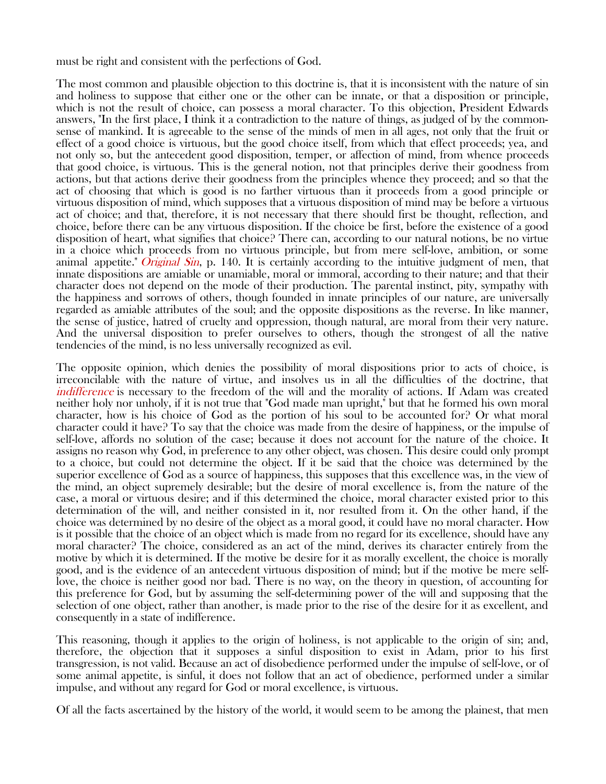must be right and consistent with the perfections of God.

The most common and plausible objection to this doctrine is, that it is inconsistent with the nature of sin and holiness to suppose that either one or the other can be innate, or that a disposition or principle, which is not the result of choice, can possess a moral character. To this objection, President Edwards answers, "In the first place, I think it a contradiction to the nature of things, as judged of by the commonsense of mankind. It is agreeable to the sense of the minds of men in all ages, not only that the fruit or effect of a good choice is virtuous, but the good choice itself, from which that effect proceeds; yea, and not only so, but the antecedent good disposition, temper, or affection of mind, from whence proceeds that good choice, is virtuous. This is the general notion, not that principles derive their goodness from actions, but that actions derive their goodness from the principles whence they proceed; and so that the act of choosing that which is good is no farther virtuous than it proceeds from a good principle or virtuous disposition of mind, which supposes that a virtuous disposition of mind may be before a virtuous act of choice; and that, therefore, it is not necessary that there should first be thought, reflection, and choice, before there can be any virtuous disposition. If the choice be first, before the existence of a good disposition of heart, what signifies that choice? There can, according to our natural notions, be no virtue in a choice which proceeds from no virtuous principle, but from mere self-love, ambition, or some animal appetite." *Original Sin*, p. 140. It is certainly according to the intuitive judgment of men, that innate dispositions are amiable or unamiable, moral or immoral, according to their nature; and that their character does not depend on the mode of their production. The parental instinct, pity, sympathy with the happiness and sorrows of others, though founded in innate principles of our nature, are universally regarded as amiable attributes of the soul; and the opposite dispositions as the reverse. In like manner, the sense of justice, hatred of cruelty and oppression, though natural, are moral from their very nature. And the universal disposition to prefer ourselves to others, though the strongest of all the native tendencies of the mind, is no less universally recognized as evil.

The opposite opinion, which denies the possibility of moral dispositions prior to acts of choice, is irreconcilable with the nature of virtue, and insolves us in all the difficulties of the doctrine, that indifference is necessary to the freedom of the will and the morality of actions. If Adam was created neither holy nor unholy, if it is not true that "God made man upright," but that he formed his own moral character, how is his choice of God as the portion of his soul to be accounted for? Or what moral character could it have? To say that the choice was made from the desire of happiness, or the impulse of self-love, affords no solution of the case; because it does not account for the nature of the choice. It assigns no reason why God, in preference to any other object, was chosen. This desire could only prompt to a choice, but could not determine the object. If it be said that the choice was determined by the superior excellence of God as a source of happiness, this supposes that this excellence was, in the view of the mind, an object supremely desirable; but the desire of moral excellence is, from the nature of the case, a moral or virtuous desire; and if this determined the choice, moral character existed prior to this determination of the will, and neither consisted in it, nor resulted from it. On the other hand, if the choice was determined by no desire of the object as a moral good, it could have no moral character. How is it possible that the choice of an object which is made from no regard for its excellence, should have any moral character? The choice, considered as an act of the mind, derives its character entirely from the motive by which it is determined. If the motive be desire for it as morally excellent, the choice is morally good, and is the evidence of an antecedent virtuous disposition of mind; but if the motive be mere selflove, the choice is neither good nor bad. There is no way, on the theory in question, of accounting for this preference for God, but by assuming the self-determining power of the will and supposing that the selection of one object, rather than another, is made prior to the rise of the desire for it as excellent, and consequently in a state of indifference.

This reasoning, though it applies to the origin of holiness, is not applicable to the origin of sin; and, therefore, the objection that it supposes a sinful disposition to exist in Adam, prior to his first transgression, is not valid. Because an act of disobedience performed under the impulse of self-love, or of some animal appetite, is sinful, it does not follow that an act of obedience, performed under a similar impulse, and without any regard for God or moral excellence, is virtuous.

Of all the facts ascertained by the history of the world, it would seem to be among the plainest, that men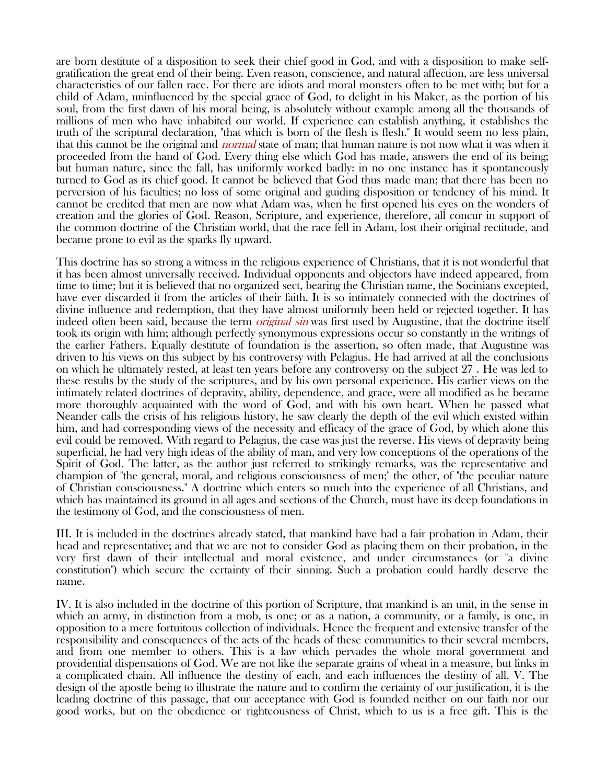are born destitute of a disposition to seek their chief good in God, and with a disposition to make selfgratification the great end of their being. Even reason, conscience, and natural affection, are less universal characteristics of our fallen race. For there are idiots and moral monsters often to be met with; but for a child of Adam, uninfluenced by the special grace of God, to delight in his Maker, as the portion of his soul, from the first dawn of his moral being, is absolutely without example among all the thousands of millions of men who have inhabited our world. If experience can establish anything, it establishes the truth of the scriptural declaration, "that which is born of the flesh is flesh." It would seem no less plain, that this cannot be the original and normal state of man; that human nature is not now what it was when it proceeded from the hand of God. Every thing else which God has made, answers the end of its being; but human nature, since the fall, has uniformly worked badly: in no one instance has it spontaneously turned to God as its chief good. It cannot be believed that God thus made man; that there has been no perversion of his faculties; no loss of some original and guiding disposition or tendency of his mind. It cannot be credited that men are now what Adam was, when he first opened his eyes on the wonders of creation and the glories of God. Reason, Scripture, and experience, therefore, all concur in support of the common doctrine of the Christian world, that the race fell in Adam, lost their original rectitude, and became prone to evil as the sparks fly upward.

This doctrine has so strong a witness in the religious experience of Christians, that it is not wonderful that it has been almost universally received. Individual opponents and objectors have indeed appeared, from time to time; but it is believed that no organized sect, bearing the Christian name, the Socinians excepted, have ever discarded it from the articles of their faith. It is so intimately connected with the doctrines of divine influence and redemption, that they have almost uniformly been held or rejected together. It has indeed often been said, because the term *original sin* was first used by Augustine, that the doctrine itself took its origin with him; although perfectly synonymous expressions occur so constantly in the writings of the earlier Fathers. Equally destitute of foundation is the assertion, so often made, that Augustine was driven to his views on this subject by his controversy with Pelagius. He had arrived at all the conclusions on which he ultimately rested, at least ten years before any controversy on the subject 27 . He was led to these results by the study of the scriptures, and by his own personal experience. His earlier views on the intimately related doctrines of depravity, ability, dependence, and grace, were all modified as he became more thoroughly acquainted with the word of God, and with his own heart. When he passed what Neander calls the crisis of his religious history, he saw clearly the depth of the evil which existed within him, and had corresponding views of the necessity and efficacy of the grace of God, by which alone this evil could be removed. With regard to Pelagius, the case was just the reverse. His views of depravity being superficial, he had very high ideas of the ability of man, and very low conceptions of the operations of the Spirit of God. The latter, as the author just referred to strikingly remarks, was the representative and champion of "the general, moral, and religious consciousness of men;" the other, of "the peculiar nature of Christian consciousness." A doctrine which enters so much into the experience of all Christians, and which has maintained its ground in all ages and sections of the Church, must have its deep foundations in the testimony of God, and the consciousness of men.

III. It is included in the doctrines already stated, that mankind have had a fair probation in Adam, their head and representative; and that we are not to consider God as placing them on their probation, in the very first dawn of their intellectual and moral existence, and under circumstances (or "a divine constitution") which secure the certainty of their sinning. Such a probation could hardly deserve the name.

IV. It is also included in the doctrine of this portion of Scripture, that mankind is an unit, in the sense in which an army, in distinction from a mob, is one; or as a nation, a community, or a family, is one, in opposition to a mere fortuitous collection of individuals. Hence the frequent and extensive transfer of the responsibility and consequences of the acts of the heads of these communities to their several members, and from one member to others. This is a law which pervades the whole moral government and providential dispensations of God. We are not like the separate grains of wheat in a measure, but links in a complicated chain. All influence the destiny of each, and each influences the destiny of all. V. The design of the apostle being to illustrate the nature and to confirm the certainty of our justification, it is the leading doctrine of this passage, that our acceptance with God is founded neither on our faith nor our good works, but on the obedience or righteousness of Christ, which to us is a free gift. This is the